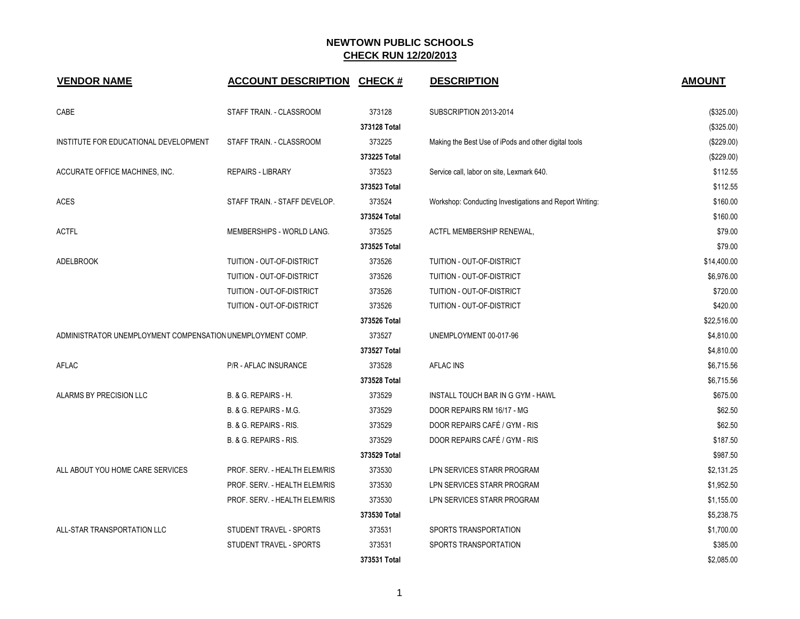| <b>VENDOR NAME</b>                                         | <b>ACCOUNT DESCRIPTION</b>       | <b>CHECK#</b> | <b>DESCRIPTION</b>                                      | <b>AMOUNT</b> |
|------------------------------------------------------------|----------------------------------|---------------|---------------------------------------------------------|---------------|
| CABE                                                       | STAFF TRAIN. - CLASSROOM         | 373128        | SUBSCRIPTION 2013-2014                                  | (\$325.00)    |
|                                                            |                                  | 373128 Total  |                                                         | (\$325.00)    |
| INSTITUTE FOR EDUCATIONAL DEVELOPMENT                      | STAFF TRAIN. - CLASSROOM         | 373225        | Making the Best Use of iPods and other digital tools    | (\$229.00)    |
|                                                            |                                  | 373225 Total  |                                                         | (\$229.00)    |
| ACCURATE OFFICE MACHINES, INC.                             | <b>REPAIRS - LIBRARY</b>         | 373523        | Service call, labor on site, Lexmark 640.               | \$112.55      |
|                                                            |                                  | 373523 Total  |                                                         | \$112.55      |
| <b>ACES</b>                                                | STAFF TRAIN. - STAFF DEVELOP.    | 373524        | Workshop: Conducting Investigations and Report Writing: | \$160.00      |
|                                                            |                                  | 373524 Total  |                                                         | \$160.00      |
| <b>ACTFL</b>                                               | MEMBERSHIPS - WORLD LANG.        | 373525        | ACTFL MEMBERSHIP RENEWAL,                               | \$79.00       |
|                                                            |                                  | 373525 Total  |                                                         | \$79.00       |
| <b>ADELBROOK</b>                                           | <b>TUITION - OUT-OF-DISTRICT</b> | 373526        | TUITION - OUT-OF-DISTRICT                               | \$14,400.00   |
|                                                            | TUITION - OUT-OF-DISTRICT        | 373526        | TUITION - OUT-OF-DISTRICT                               | \$6,976.00    |
|                                                            | TUITION - OUT-OF-DISTRICT        | 373526        | TUITION - OUT-OF-DISTRICT                               | \$720.00      |
|                                                            | TUITION - OUT-OF-DISTRICT        | 373526        | TUITION - OUT-OF-DISTRICT                               | \$420.00      |
|                                                            |                                  | 373526 Total  |                                                         | \$22,516.00   |
| ADMINISTRATOR UNEMPLOYMENT COMPENSATION UNEMPLOYMENT COMP. |                                  | 373527        | UNEMPLOYMENT 00-017-96                                  | \$4,810.00    |
|                                                            |                                  | 373527 Total  |                                                         | \$4,810.00    |
| AFLAC                                                      | <b>P/R - AFLAC INSURANCE</b>     | 373528        | <b>AFLAC INS</b>                                        | \$6,715.56    |
|                                                            |                                  | 373528 Total  |                                                         | \$6,715.56    |
| ALARMS BY PRECISION LLC                                    | B. & G. REPAIRS - H.             | 373529        | INSTALL TOUCH BAR IN G GYM - HAWL                       | \$675.00      |
|                                                            | B. & G. REPAIRS - M.G.           | 373529        | DOOR REPAIRS RM 16/17 - MG                              | \$62.50       |
|                                                            | B. & G. REPAIRS - RIS.           | 373529        | DOOR REPAIRS CAFÉ / GYM - RIS                           | \$62.50       |
|                                                            | B. & G. REPAIRS - RIS.           | 373529        | DOOR REPAIRS CAFÉ / GYM - RIS                           | \$187.50      |
|                                                            |                                  | 373529 Total  |                                                         | \$987.50      |
| ALL ABOUT YOU HOME CARE SERVICES                           | PROF. SERV. - HEALTH ELEM/RIS    | 373530        | LPN SERVICES STARR PROGRAM                              | \$2,131.25    |
|                                                            | PROF. SERV. - HEALTH ELEM/RIS    | 373530        | LPN SERVICES STARR PROGRAM                              | \$1,952.50    |
|                                                            | PROF. SERV. - HEALTH ELEM/RIS    | 373530        | LPN SERVICES STARR PROGRAM                              | \$1,155.00    |
|                                                            |                                  | 373530 Total  |                                                         | \$5,238.75    |
| ALL-STAR TRANSPORTATION LLC                                | STUDENT TRAVEL - SPORTS          | 373531        | SPORTS TRANSPORTATION                                   | \$1,700.00    |
|                                                            | STUDENT TRAVEL - SPORTS          | 373531        | SPORTS TRANSPORTATION                                   | \$385.00      |
|                                                            |                                  | 373531 Total  |                                                         | \$2,085.00    |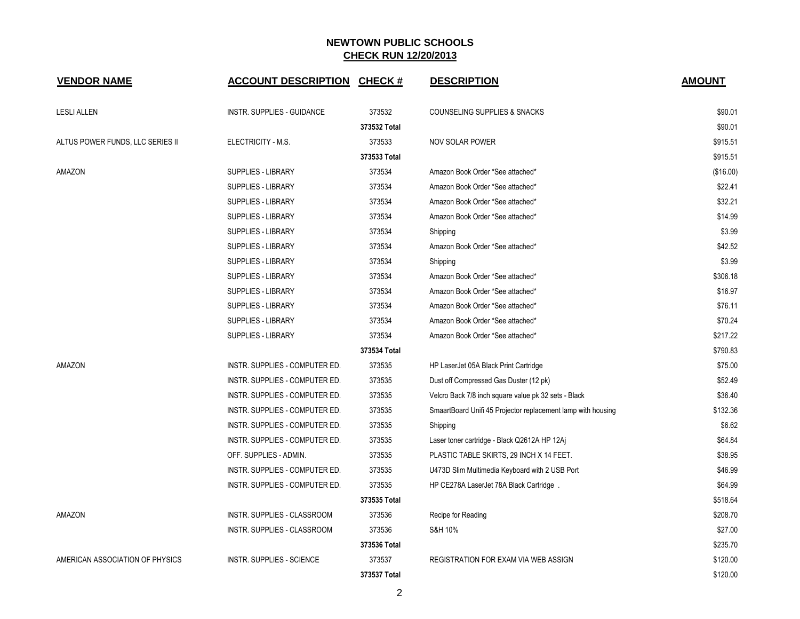| <b>VENDOR NAME</b>               | <b>ACCOUNT DESCRIPTION</b>        | <b>CHECK#</b> | <b>DESCRIPTION</b>                                           | <b>AMOUNT</b> |
|----------------------------------|-----------------------------------|---------------|--------------------------------------------------------------|---------------|
| <b>LESLI ALLEN</b>               | <b>INSTR. SUPPLIES - GUIDANCE</b> | 373532        | COUNSELING SUPPLIES & SNACKS                                 | \$90.01       |
|                                  |                                   | 373532 Total  |                                                              | \$90.01       |
| ALTUS POWER FUNDS, LLC SERIES II | ELECTRICITY - M.S.                | 373533        | <b>NOV SOLAR POWER</b>                                       | \$915.51      |
|                                  |                                   | 373533 Total  |                                                              | \$915.51      |
| AMAZON                           | <b>SUPPLIES - LIBRARY</b>         | 373534        | Amazon Book Order *See attached*                             | (\$16.00)     |
|                                  | <b>SUPPLIES - LIBRARY</b>         | 373534        | Amazon Book Order *See attached*                             | \$22.41       |
|                                  | <b>SUPPLIES - LIBRARY</b>         | 373534        | Amazon Book Order *See attached*                             | \$32.21       |
|                                  | SUPPLIES - LIBRARY                | 373534        | Amazon Book Order *See attached*                             | \$14.99       |
|                                  | <b>SUPPLIES - LIBRARY</b>         | 373534        | Shipping                                                     | \$3.99        |
|                                  | <b>SUPPLIES - LIBRARY</b>         | 373534        | Amazon Book Order *See attached*                             | \$42.52       |
|                                  | <b>SUPPLIES - LIBRARY</b>         | 373534        | Shipping                                                     | \$3.99        |
|                                  | <b>SUPPLIES - LIBRARY</b>         | 373534        | Amazon Book Order *See attached*                             | \$306.18      |
|                                  | <b>SUPPLIES - LIBRARY</b>         | 373534        | Amazon Book Order *See attached*                             | \$16.97       |
|                                  | <b>SUPPLIES - LIBRARY</b>         | 373534        | Amazon Book Order *See attached*                             | \$76.11       |
|                                  | <b>SUPPLIES - LIBRARY</b>         | 373534        | Amazon Book Order *See attached*                             | \$70.24       |
|                                  | SUPPLIES - LIBRARY                | 373534        | Amazon Book Order *See attached*                             | \$217.22      |
|                                  |                                   | 373534 Total  |                                                              | \$790.83      |
| AMAZON                           | INSTR. SUPPLIES - COMPUTER ED.    | 373535        | HP LaserJet 05A Black Print Cartridge                        | \$75.00       |
|                                  | INSTR. SUPPLIES - COMPUTER ED.    | 373535        | Dust off Compressed Gas Duster (12 pk)                       | \$52.49       |
|                                  | INSTR. SUPPLIES - COMPUTER ED.    | 373535        | Velcro Back 7/8 inch square value pk 32 sets - Black         | \$36.40       |
|                                  | INSTR. SUPPLIES - COMPUTER ED.    | 373535        | SmaartBoard Unifi 45 Projector replacement lamp with housing | \$132.36      |
|                                  | INSTR. SUPPLIES - COMPUTER ED.    | 373535        | Shipping                                                     | \$6.62        |
|                                  | INSTR. SUPPLIES - COMPUTER ED.    | 373535        | Laser toner cartridge - Black Q2612A HP 12Aj                 | \$64.84       |
|                                  | OFF. SUPPLIES - ADMIN.            | 373535        | PLASTIC TABLE SKIRTS, 29 INCH X 14 FEET.                     | \$38.95       |
|                                  | INSTR. SUPPLIES - COMPUTER ED.    | 373535        | U473D Slim Multimedia Keyboard with 2 USB Port               | \$46.99       |
|                                  | INSTR. SUPPLIES - COMPUTER ED.    | 373535        | HP CE278A LaserJet 78A Black Cartridge.                      | \$64.99       |
|                                  |                                   | 373535 Total  |                                                              | \$518.64      |
| AMAZON                           | INSTR. SUPPLIES - CLASSROOM       | 373536        | Recipe for Reading                                           | \$208.70      |
|                                  | INSTR. SUPPLIES - CLASSROOM       | 373536        | S&H 10%                                                      | \$27.00       |
|                                  |                                   | 373536 Total  |                                                              | \$235.70      |
| AMERICAN ASSOCIATION OF PHYSICS  | <b>INSTR. SUPPLIES - SCIENCE</b>  | 373537        | REGISTRATION FOR EXAM VIA WEB ASSIGN                         | \$120.00      |
|                                  |                                   | 373537 Total  |                                                              | \$120.00      |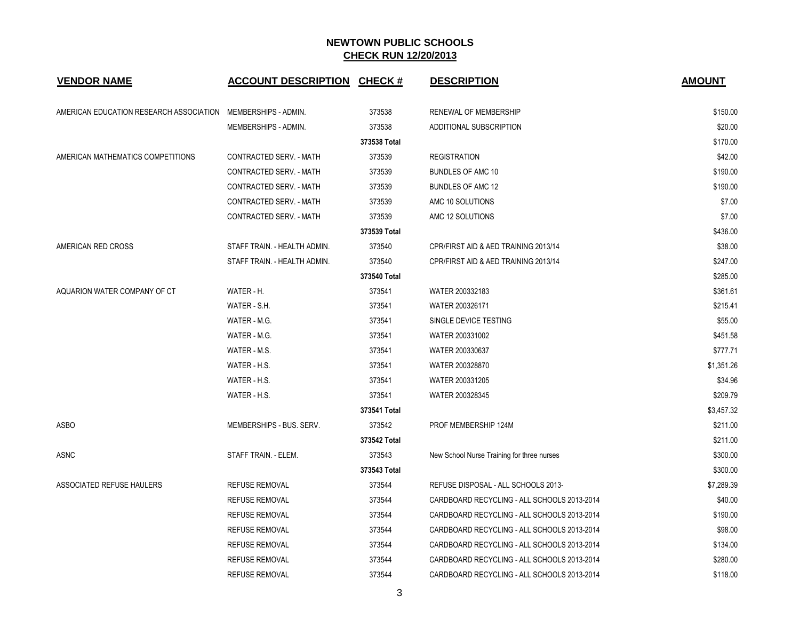| <b>VENDOR NAME</b>                                           | <b>ACCOUNT DESCRIPTION CHECK #</b> |              | <b>DESCRIPTION</b>                          | <b>AMOUNT</b> |
|--------------------------------------------------------------|------------------------------------|--------------|---------------------------------------------|---------------|
| AMERICAN EDUCATION RESEARCH ASSOCIATION MEMBERSHIPS - ADMIN. |                                    | 373538       | RENEWAL OF MEMBERSHIP                       | \$150.00      |
|                                                              | MEMBERSHIPS - ADMIN.               | 373538       | ADDITIONAL SUBSCRIPTION                     | \$20.00       |
|                                                              |                                    | 373538 Total |                                             | \$170.00      |
| AMERICAN MATHEMATICS COMPETITIONS                            | CONTRACTED SERV. - MATH            | 373539       | <b>REGISTRATION</b>                         | \$42.00       |
|                                                              | CONTRACTED SERV. - MATH            | 373539       | <b>BUNDLES OF AMC 10</b>                    | \$190.00      |
|                                                              | CONTRACTED SERV. - MATH            | 373539       | <b>BUNDLES OF AMC 12</b>                    | \$190.00      |
|                                                              | CONTRACTED SERV. - MATH            | 373539       | AMC 10 SOLUTIONS                            | \$7.00        |
|                                                              | CONTRACTED SERV. - MATH            | 373539       | AMC 12 SOLUTIONS                            | \$7.00        |
|                                                              |                                    | 373539 Total |                                             | \$436.00      |
| AMERICAN RED CROSS                                           | STAFF TRAIN. - HEALTH ADMIN.       | 373540       | CPR/FIRST AID & AED TRAINING 2013/14        | \$38.00       |
|                                                              | STAFF TRAIN. - HEALTH ADMIN.       | 373540       | CPR/FIRST AID & AED TRAINING 2013/14        | \$247.00      |
|                                                              |                                    | 373540 Total |                                             | \$285.00      |
| AQUARION WATER COMPANY OF CT                                 | WATER - H.                         | 373541       | WATER 200332183                             | \$361.61      |
|                                                              | WATER - S.H.                       | 373541       | WATER 200326171                             | \$215.41      |
|                                                              | WATER - M.G.                       | 373541       | SINGLE DEVICE TESTING                       | \$55.00       |
|                                                              | WATER - M.G.                       | 373541       | WATER 200331002                             | \$451.58      |
|                                                              | WATER - M.S.                       | 373541       | WATER 200330637                             | \$777.71      |
|                                                              | WATER - H.S.                       | 373541       | WATER 200328870                             | \$1,351.26    |
|                                                              | WATER - H.S.                       | 373541       | WATER 200331205                             | \$34.96       |
|                                                              | WATER - H.S.                       | 373541       | WATER 200328345                             | \$209.79      |
|                                                              |                                    | 373541 Total |                                             | \$3,457.32    |
| <b>ASBO</b>                                                  | MEMBERSHIPS - BUS, SERV.           | 373542       | PROF MEMBERSHIP 124M                        | \$211.00      |
|                                                              |                                    | 373542 Total |                                             | \$211.00      |
| ASNC                                                         | STAFF TRAIN. - ELEM.               | 373543       | New School Nurse Training for three nurses  | \$300.00      |
|                                                              |                                    | 373543 Total |                                             | \$300.00      |
| ASSOCIATED REFUSE HAULERS                                    | <b>REFUSE REMOVAL</b>              | 373544       | REFUSE DISPOSAL - ALL SCHOOLS 2013-         | \$7,289.39    |
|                                                              | <b>REFUSE REMOVAL</b>              | 373544       | CARDBOARD RECYCLING - ALL SCHOOLS 2013-2014 | \$40.00       |
|                                                              | <b>REFUSE REMOVAL</b>              | 373544       | CARDBOARD RECYCLING - ALL SCHOOLS 2013-2014 | \$190.00      |
|                                                              | <b>REFUSE REMOVAL</b>              | 373544       | CARDBOARD RECYCLING - ALL SCHOOLS 2013-2014 | \$98.00       |
|                                                              | <b>REFUSE REMOVAL</b>              | 373544       | CARDBOARD RECYCLING - ALL SCHOOLS 2013-2014 | \$134.00      |
|                                                              | <b>REFUSE REMOVAL</b>              | 373544       | CARDBOARD RECYCLING - ALL SCHOOLS 2013-2014 | \$280.00      |
|                                                              | <b>REFUSE REMOVAL</b>              | 373544       | CARDBOARD RECYCLING - ALL SCHOOLS 2013-2014 | \$118.00      |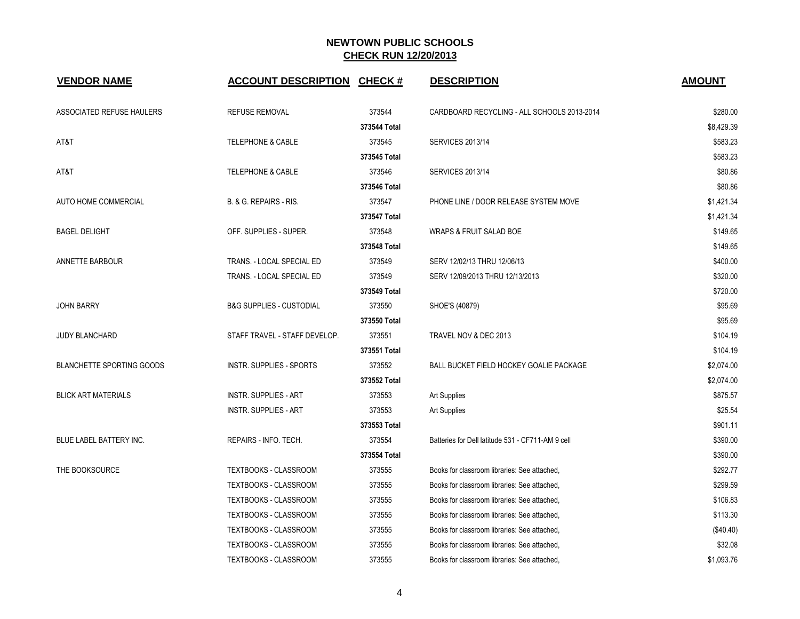| <b>VENDOR NAME</b>               | <b>ACCOUNT DESCRIPTION</b>          | <b>CHECK#</b> | <b>DESCRIPTION</b>                                | <b>AMOUNT</b> |
|----------------------------------|-------------------------------------|---------------|---------------------------------------------------|---------------|
| ASSOCIATED REFUSE HAULERS        | <b>REFUSE REMOVAL</b>               | 373544        | CARDBOARD RECYCLING - ALL SCHOOLS 2013-2014       | \$280.00      |
|                                  |                                     | 373544 Total  |                                                   | \$8,429.39    |
| AT&T                             | <b>TELEPHONE &amp; CABLE</b>        | 373545        | <b>SERVICES 2013/14</b>                           | \$583.23      |
|                                  |                                     | 373545 Total  |                                                   | \$583.23      |
| AT&T                             | <b>TELEPHONE &amp; CABLE</b>        | 373546        | <b>SERVICES 2013/14</b>                           | \$80.86       |
|                                  |                                     | 373546 Total  |                                                   | \$80.86       |
| <b>AUTO HOME COMMERCIAL</b>      | B. & G. REPAIRS - RIS.              | 373547        | PHONE LINE / DOOR RELEASE SYSTEM MOVE             | \$1,421.34    |
|                                  |                                     | 373547 Total  |                                                   | \$1,421.34    |
| <b>BAGEL DELIGHT</b>             | OFF. SUPPLIES - SUPER.              | 373548        | <b>WRAPS &amp; FRUIT SALAD BOE</b>                | \$149.65      |
|                                  |                                     | 373548 Total  |                                                   | \$149.65      |
| ANNETTE BARBOUR                  | TRANS. - LOCAL SPECIAL ED           | 373549        | SERV 12/02/13 THRU 12/06/13                       | \$400.00      |
|                                  | TRANS. - LOCAL SPECIAL ED           | 373549        | SERV 12/09/2013 THRU 12/13/2013                   | \$320.00      |
|                                  |                                     | 373549 Total  |                                                   | \$720.00      |
| <b>JOHN BARRY</b>                | <b>B&amp;G SUPPLIES - CUSTODIAL</b> | 373550        | SHOE'S (40879)                                    | \$95.69       |
|                                  |                                     | 373550 Total  |                                                   | \$95.69       |
| <b>JUDY BLANCHARD</b>            | STAFF TRAVEL - STAFF DEVELOP.       | 373551        | TRAVEL NOV & DEC 2013                             | \$104.19      |
|                                  |                                     | 373551 Total  |                                                   | \$104.19      |
| <b>BLANCHETTE SPORTING GOODS</b> | <b>INSTR. SUPPLIES - SPORTS</b>     | 373552        | BALL BUCKET FIELD HOCKEY GOALIE PACKAGE           | \$2,074.00    |
|                                  |                                     | 373552 Total  |                                                   | \$2,074.00    |
| <b>BLICK ART MATERIALS</b>       | <b>INSTR. SUPPLIES - ART</b>        | 373553        | <b>Art Supplies</b>                               | \$875.57      |
|                                  | <b>INSTR. SUPPLIES - ART</b>        | 373553        | <b>Art Supplies</b>                               | \$25.54       |
|                                  |                                     | 373553 Total  |                                                   | \$901.11      |
| <b>BLUE LABEL BATTERY INC.</b>   | REPAIRS - INFO. TECH.               | 373554        | Batteries for Dell latitude 531 - CF711-AM 9 cell | \$390.00      |
|                                  |                                     | 373554 Total  |                                                   | \$390.00      |
| THE BOOKSOURCE                   | TEXTBOOKS - CLASSROOM               | 373555        | Books for classroom libraries: See attached,      | \$292.77      |
|                                  | <b>TEXTBOOKS - CLASSROOM</b>        | 373555        | Books for classroom libraries: See attached,      | \$299.59      |
|                                  | TEXTBOOKS - CLASSROOM               | 373555        | Books for classroom libraries: See attached,      | \$106.83      |
|                                  | TEXTBOOKS - CLASSROOM               | 373555        | Books for classroom libraries: See attached,      | \$113.30      |
|                                  | TEXTBOOKS - CLASSROOM               | 373555        | Books for classroom libraries: See attached,      | (\$40.40)     |
|                                  | TEXTBOOKS - CLASSROOM               | 373555        | Books for classroom libraries: See attached,      | \$32.08       |
|                                  | TEXTBOOKS - CLASSROOM               | 373555        | Books for classroom libraries: See attached,      | \$1,093.76    |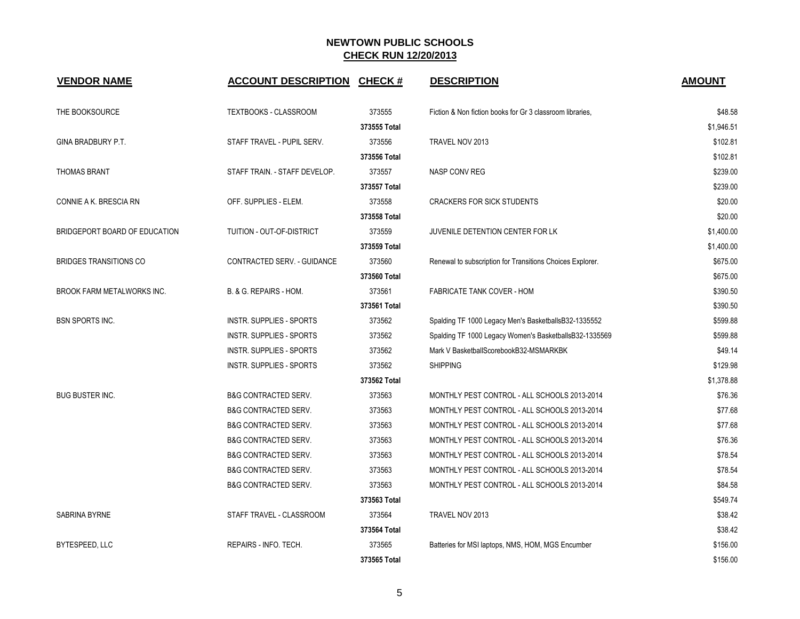| <b>VENDOR NAME</b>                | <b>ACCOUNT DESCRIPTION</b>      | <b>CHECK#</b> | <b>DESCRIPTION</b>                                        | <b>AMOUNT</b> |
|-----------------------------------|---------------------------------|---------------|-----------------------------------------------------------|---------------|
| THE BOOKSOURCE                    | <b>TEXTBOOKS - CLASSROOM</b>    | 373555        | Fiction & Non fiction books for Gr 3 classroom libraries, | \$48.58       |
|                                   |                                 | 373555 Total  |                                                           | \$1,946.51    |
| GINA BRADBURY P.T.                | STAFF TRAVEL - PUPIL SERV.      | 373556        | TRAVEL NOV 2013                                           | \$102.81      |
|                                   |                                 | 373556 Total  |                                                           | \$102.81      |
| <b>THOMAS BRANT</b>               | STAFF TRAIN. - STAFF DEVELOP.   | 373557        | NASP CONV REG                                             | \$239.00      |
|                                   |                                 | 373557 Total  |                                                           | \$239.00      |
| CONNIE A K. BRESCIA RN            | OFF. SUPPLIES - ELEM.           | 373558        | <b>CRACKERS FOR SICK STUDENTS</b>                         | \$20.00       |
|                                   |                                 | 373558 Total  |                                                           | \$20.00       |
| BRIDGEPORT BOARD OF EDUCATION     | TUITION - OUT-OF-DISTRICT       | 373559        | JUVENILE DETENTION CENTER FOR LK                          | \$1,400.00    |
|                                   |                                 | 373559 Total  |                                                           | \$1,400.00    |
| <b>BRIDGES TRANSITIONS CO</b>     | CONTRACTED SERV. - GUIDANCE     | 373560        | Renewal to subscription for Transitions Choices Explorer. | \$675.00      |
|                                   |                                 | 373560 Total  |                                                           | \$675.00      |
| <b>BROOK FARM METALWORKS INC.</b> | B. & G. REPAIRS - HOM.          | 373561        | <b>FABRICATE TANK COVER - HOM</b>                         | \$390.50      |
|                                   |                                 | 373561 Total  |                                                           | \$390.50      |
| <b>BSN SPORTS INC.</b>            | <b>INSTR. SUPPLIES - SPORTS</b> | 373562        | Spalding TF 1000 Legacy Men's BasketballsB32-1335552      | \$599.88      |
|                                   | INSTR. SUPPLIES - SPORTS        | 373562        | Spalding TF 1000 Legacy Women's BasketballsB32-1335569    | \$599.88      |
|                                   | INSTR. SUPPLIES - SPORTS        | 373562        | Mark V BasketballScorebookB32-MSMARKBK                    | \$49.14       |
|                                   | <b>INSTR. SUPPLIES - SPORTS</b> | 373562        | <b>SHIPPING</b>                                           | \$129.98      |
|                                   |                                 | 373562 Total  |                                                           | \$1,378.88    |
| <b>BUG BUSTER INC.</b>            | <b>B&amp;G CONTRACTED SERV.</b> | 373563        | MONTHLY PEST CONTROL - ALL SCHOOLS 2013-2014              | \$76.36       |
|                                   | <b>B&amp;G CONTRACTED SERV.</b> | 373563        | MONTHLY PEST CONTROL - ALL SCHOOLS 2013-2014              | \$77.68       |
|                                   | <b>B&amp;G CONTRACTED SERV.</b> | 373563        | MONTHLY PEST CONTROL - ALL SCHOOLS 2013-2014              | \$77.68       |
|                                   | <b>B&amp;G CONTRACTED SERV.</b> | 373563        | MONTHLY PEST CONTROL - ALL SCHOOLS 2013-2014              | \$76.36       |
|                                   | <b>B&amp;G CONTRACTED SERV.</b> | 373563        | MONTHLY PEST CONTROL - ALL SCHOOLS 2013-2014              | \$78.54       |
|                                   | <b>B&amp;G CONTRACTED SERV.</b> | 373563        | MONTHLY PEST CONTROL - ALL SCHOOLS 2013-2014              | \$78.54       |
|                                   | <b>B&amp;G CONTRACTED SERV.</b> | 373563        | MONTHLY PEST CONTROL - ALL SCHOOLS 2013-2014              | \$84.58       |
|                                   |                                 | 373563 Total  |                                                           | \$549.74      |
| SABRINA BYRNE                     | STAFF TRAVEL - CLASSROOM        | 373564        | TRAVEL NOV 2013                                           | \$38.42       |
|                                   |                                 | 373564 Total  |                                                           | \$38.42       |
| BYTESPEED, LLC                    | REPAIRS - INFO. TECH.           | 373565        | Batteries for MSI laptops, NMS, HOM, MGS Encumber         | \$156.00      |
|                                   |                                 | 373565 Total  |                                                           | \$156.00      |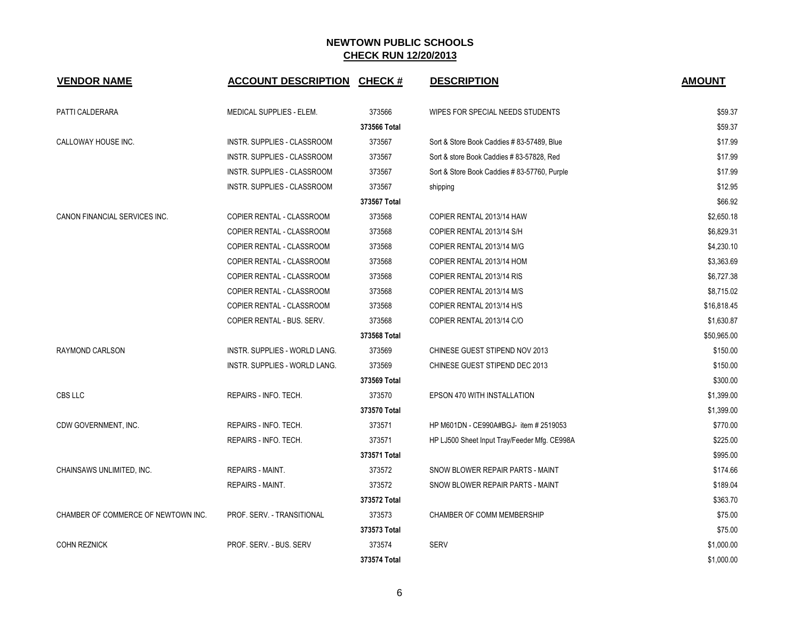| <b>VENDOR NAME</b>                  | <b>ACCOUNT DESCRIPTION</b>           | <b>CHECK#</b> | <b>DESCRIPTION</b>                           | <b>AMOUNT</b> |
|-------------------------------------|--------------------------------------|---------------|----------------------------------------------|---------------|
| PATTI CALDERARA                     | MEDICAL SUPPLIES - ELEM.             | 373566        | WIPES FOR SPECIAL NEEDS STUDENTS             | \$59.37       |
|                                     |                                      | 373566 Total  |                                              | \$59.37       |
| CALLOWAY HOUSE INC.                 | INSTR. SUPPLIES - CLASSROOM          | 373567        | Sort & Store Book Caddies #83-57489, Blue    | \$17.99       |
|                                     | INSTR. SUPPLIES - CLASSROOM          | 373567        | Sort & store Book Caddies #83-57828, Red     | \$17.99       |
|                                     | INSTR. SUPPLIES - CLASSROOM          | 373567        | Sort & Store Book Caddies #83-57760, Purple  | \$17.99       |
|                                     | INSTR. SUPPLIES - CLASSROOM          | 373567        | shipping                                     | \$12.95       |
|                                     |                                      | 373567 Total  |                                              | \$66.92       |
| CANON FINANCIAL SERVICES INC.       | COPIER RENTAL - CLASSROOM            | 373568        | COPIER RENTAL 2013/14 HAW                    | \$2,650.18    |
|                                     | COPIER RENTAL - CLASSROOM            | 373568        | COPIER RENTAL 2013/14 S/H                    | \$6,829.31    |
|                                     | COPIER RENTAL - CLASSROOM            | 373568        | COPIER RENTAL 2013/14 M/G                    | \$4,230.10    |
|                                     | COPIER RENTAL - CLASSROOM            | 373568        | COPIER RENTAL 2013/14 HOM                    | \$3,363.69    |
|                                     | COPIER RENTAL - CLASSROOM            | 373568        | COPIER RENTAL 2013/14 RIS                    | \$6,727.38    |
|                                     | COPIER RENTAL - CLASSROOM            | 373568        | COPIER RENTAL 2013/14 M/S                    | \$8,715.02    |
|                                     | COPIER RENTAL - CLASSROOM            | 373568        | COPIER RENTAL 2013/14 H/S                    | \$16,818.45   |
|                                     | COPIER RENTAL - BUS, SERV.           | 373568        | COPIER RENTAL 2013/14 C/O                    | \$1,630.87    |
|                                     |                                      | 373568 Total  |                                              | \$50,965.00   |
| <b>RAYMOND CARLSON</b>              | <b>INSTR. SUPPLIES - WORLD LANG.</b> | 373569        | CHINESE GUEST STIPEND NOV 2013               | \$150.00      |
|                                     | INSTR. SUPPLIES - WORLD LANG.        | 373569        | CHINESE GUEST STIPEND DEC 2013               | \$150.00      |
|                                     |                                      | 373569 Total  |                                              | \$300.00      |
| CBS LLC                             | REPAIRS - INFO. TECH.                | 373570        | EPSON 470 WITH INSTALLATION                  | \$1,399.00    |
|                                     |                                      | 373570 Total  |                                              | \$1,399.00    |
| CDW GOVERNMENT, INC.                | REPAIRS - INFO. TECH.                | 373571        | HP M601DN - CE990A#BGJ- item # 2519053       | \$770.00      |
|                                     | REPAIRS - INFO. TECH.                | 373571        | HP LJ500 Sheet Input Tray/Feeder Mfg. CE998A | \$225.00      |
|                                     |                                      | 373571 Total  |                                              | \$995.00      |
| CHAINSAWS UNLIMITED, INC.           | <b>REPAIRS - MAINT.</b>              | 373572        | SNOW BLOWER REPAIR PARTS - MAINT             | \$174.66      |
|                                     | REPAIRS - MAINT.                     | 373572        | SNOW BLOWER REPAIR PARTS - MAINT             | \$189.04      |
|                                     |                                      | 373572 Total  |                                              | \$363.70      |
| CHAMBER OF COMMERCE OF NEWTOWN INC. | PROF. SERV. - TRANSITIONAL           | 373573        | <b>CHAMBER OF COMM MEMBERSHIP</b>            | \$75.00       |
|                                     |                                      | 373573 Total  |                                              | \$75.00       |
| <b>COHN REZNICK</b>                 | PROF. SERV. - BUS. SERV              | 373574        | <b>SERV</b>                                  | \$1,000.00    |
|                                     |                                      | 373574 Total  |                                              | \$1,000.00    |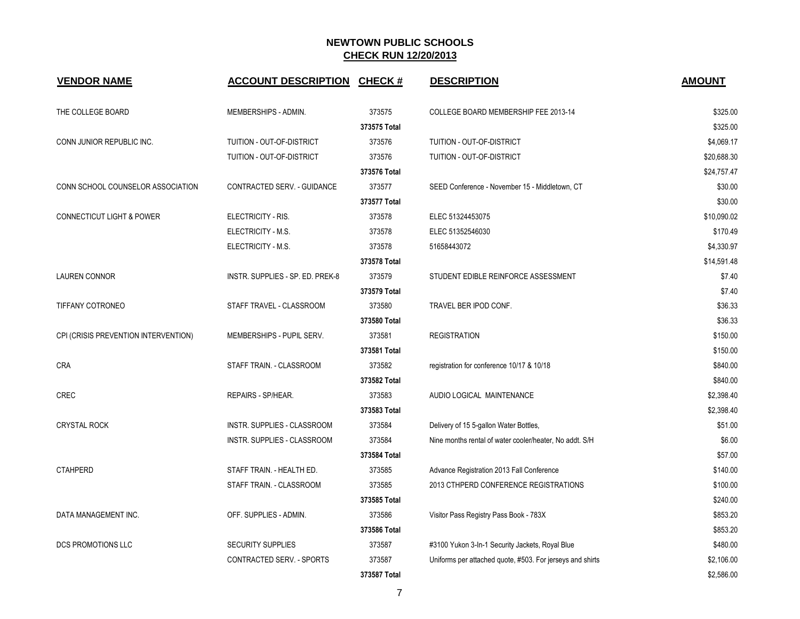| <b>VENDOR NAME</b>                   | <b>ACCOUNT DESCRIPTION</b>       | <b>CHECK#</b> | <b>DESCRIPTION</b>                                        | <b>AMOUNT</b> |
|--------------------------------------|----------------------------------|---------------|-----------------------------------------------------------|---------------|
| THE COLLEGE BOARD                    | MEMBERSHIPS - ADMIN.             | 373575        | COLLEGE BOARD MEMBERSHIP FEE 2013-14                      | \$325.00      |
|                                      |                                  | 373575 Total  |                                                           | \$325.00      |
| CONN JUNIOR REPUBLIC INC.            | TUITION - OUT-OF-DISTRICT        | 373576        | TUITION - OUT-OF-DISTRICT                                 | \$4,069.17    |
|                                      | TUITION - OUT-OF-DISTRICT        | 373576        | TUITION - OUT-OF-DISTRICT                                 | \$20,688.30   |
|                                      |                                  | 373576 Total  |                                                           | \$24,757.47   |
| CONN SCHOOL COUNSELOR ASSOCIATION    | CONTRACTED SERV. - GUIDANCE      | 373577        | SEED Conference - November 15 - Middletown, CT            | \$30.00       |
|                                      |                                  | 373577 Total  |                                                           | \$30.00       |
| <b>CONNECTICUT LIGHT &amp; POWER</b> | ELECTRICITY - RIS.               | 373578        | ELEC 51324453075                                          | \$10,090.02   |
|                                      | ELECTRICITY - M.S.               | 373578        | ELEC 51352546030                                          | \$170.49      |
|                                      | ELECTRICITY - M.S.               | 373578        | 51658443072                                               | \$4,330.97    |
|                                      |                                  | 373578 Total  |                                                           | \$14,591.48   |
| <b>LAUREN CONNOR</b>                 | INSTR. SUPPLIES - SP. ED. PREK-8 | 373579        | STUDENT EDIBLE REINFORCE ASSESSMENT                       | \$7.40        |
|                                      |                                  | 373579 Total  |                                                           | \$7.40        |
| TIFFANY COTRONEO                     | STAFF TRAVEL - CLASSROOM         | 373580        | TRAVEL BER IPOD CONF.                                     | \$36.33       |
|                                      |                                  | 373580 Total  |                                                           | \$36.33       |
| CPI (CRISIS PREVENTION INTERVENTION) | MEMBERSHIPS - PUPIL SERV.        | 373581        | <b>REGISTRATION</b>                                       | \$150.00      |
|                                      |                                  | 373581 Total  |                                                           | \$150.00      |
| <b>CRA</b>                           | STAFF TRAIN. - CLASSROOM         | 373582        | registration for conference 10/17 & 10/18                 | \$840.00      |
|                                      |                                  | 373582 Total  |                                                           | \$840.00      |
| <b>CREC</b>                          | REPAIRS - SP/HEAR.               | 373583        | AUDIO LOGICAL MAINTENANCE                                 | \$2,398.40    |
|                                      |                                  | 373583 Total  |                                                           | \$2,398.40    |
| <b>CRYSTAL ROCK</b>                  | INSTR. SUPPLIES - CLASSROOM      | 373584        | Delivery of 15 5-gallon Water Bottles,                    | \$51.00       |
|                                      | INSTR. SUPPLIES - CLASSROOM      | 373584        | Nine months rental of water cooler/heater, No addt. S/H   | \$6.00        |
|                                      |                                  | 373584 Total  |                                                           | \$57.00       |
| <b>CTAHPERD</b>                      | STAFF TRAIN. - HEALTH ED.        | 373585        | Advance Registration 2013 Fall Conference                 | \$140.00      |
|                                      | STAFF TRAIN. - CLASSROOM         | 373585        | 2013 CTHPERD CONFERENCE REGISTRATIONS                     | \$100.00      |
|                                      |                                  | 373585 Total  |                                                           | \$240.00      |
| DATA MANAGEMENT INC.                 | OFF. SUPPLIES - ADMIN.           | 373586        | Visitor Pass Registry Pass Book - 783X                    | \$853.20      |
|                                      |                                  | 373586 Total  |                                                           | \$853.20      |
| <b>DCS PROMOTIONS LLC</b>            | <b>SECURITY SUPPLIES</b>         | 373587        | #3100 Yukon 3-In-1 Security Jackets, Royal Blue           | \$480.00      |
|                                      | CONTRACTED SERV. - SPORTS        | 373587        | Uniforms per attached quote, #503. For jerseys and shirts | \$2,106.00    |
|                                      |                                  | 373587 Total  |                                                           | \$2,586.00    |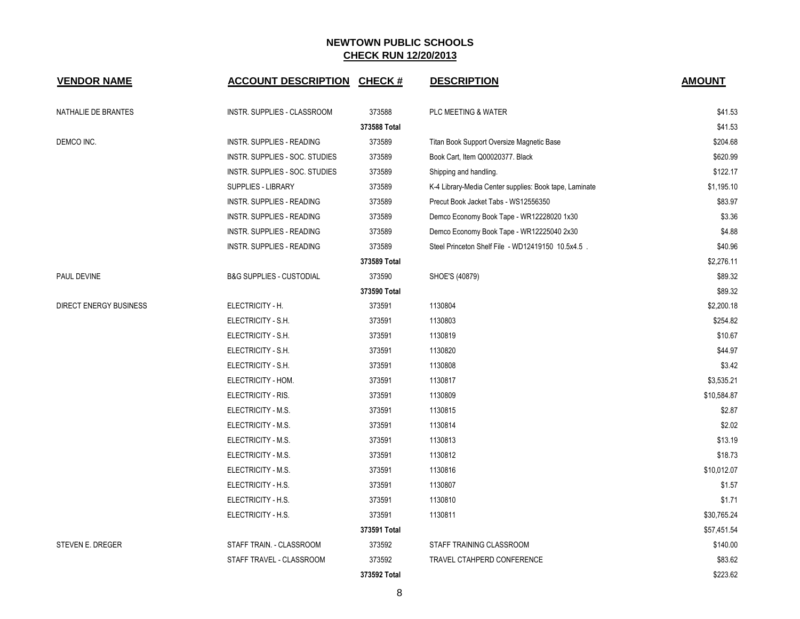| <b>VENDOR NAME</b>            | <b>ACCOUNT DESCRIPTION</b>          | <b>CHECK#</b> | <b>DESCRIPTION</b>                                     | <b>AMOUNT</b> |
|-------------------------------|-------------------------------------|---------------|--------------------------------------------------------|---------------|
| NATHALIE DE BRANTES           | INSTR. SUPPLIES - CLASSROOM         | 373588        | PLC MEETING & WATER                                    | \$41.53       |
|                               |                                     | 373588 Total  |                                                        | \$41.53       |
| DEMCO INC.                    | INSTR. SUPPLIES - READING           | 373589        | Titan Book Support Oversize Magnetic Base              | \$204.68      |
|                               | INSTR. SUPPLIES - SOC. STUDIES      | 373589        | Book Cart, Item Q00020377. Black                       | \$620.99      |
|                               | INSTR. SUPPLIES - SOC. STUDIES      | 373589        | Shipping and handling.                                 | \$122.17      |
|                               | SUPPLIES - LIBRARY                  | 373589        | K-4 Library-Media Center supplies: Book tape, Laminate | \$1,195.10    |
|                               | INSTR. SUPPLIES - READING           | 373589        | Precut Book Jacket Tabs - WS12556350                   | \$83.97       |
|                               | INSTR. SUPPLIES - READING           | 373589        | Demco Economy Book Tape - WR12228020 1x30              | \$3.36        |
|                               | INSTR. SUPPLIES - READING           | 373589        | Demco Economy Book Tape - WR12225040 2x30              | \$4.88        |
|                               | <b>INSTR. SUPPLIES - READING</b>    | 373589        | Steel Princeton Shelf File - WD12419150 10.5x4.5.      | \$40.96       |
|                               |                                     | 373589 Total  |                                                        | \$2,276.11    |
| PAUL DEVINE                   | <b>B&amp;G SUPPLIES - CUSTODIAL</b> | 373590        | SHOE'S (40879)                                         | \$89.32       |
|                               |                                     | 373590 Total  |                                                        | \$89.32       |
| <b>DIRECT ENERGY BUSINESS</b> | ELECTRICITY - H.                    | 373591        | 1130804                                                | \$2,200.18    |
|                               | ELECTRICITY - S.H.                  | 373591        | 1130803                                                | \$254.82      |
|                               | ELECTRICITY - S.H.                  | 373591        | 1130819                                                | \$10.67       |
|                               | ELECTRICITY - S.H.                  | 373591        | 1130820                                                | \$44.97       |
|                               | ELECTRICITY - S.H.                  | 373591        | 1130808                                                | \$3.42        |
|                               | ELECTRICITY - HOM.                  | 373591        | 1130817                                                | \$3,535.21    |
|                               | ELECTRICITY - RIS.                  | 373591        | 1130809                                                | \$10,584.87   |
|                               | ELECTRICITY - M.S.                  | 373591        | 1130815                                                | \$2.87        |
|                               | ELECTRICITY - M.S.                  | 373591        | 1130814                                                | \$2.02        |
|                               | ELECTRICITY - M.S.                  | 373591        | 1130813                                                | \$13.19       |
|                               | ELECTRICITY - M.S.                  | 373591        | 1130812                                                | \$18.73       |
|                               | ELECTRICITY - M.S.                  | 373591        | 1130816                                                | \$10,012.07   |
|                               | ELECTRICITY - H.S.                  | 373591        | 1130807                                                | \$1.57        |
|                               | ELECTRICITY - H.S.                  | 373591        | 1130810                                                | \$1.71        |
|                               | ELECTRICITY - H.S.                  | 373591        | 1130811                                                | \$30,765.24   |
|                               |                                     | 373591 Total  |                                                        | \$57,451.54   |
| <b>STEVEN E. DREGER</b>       | STAFF TRAIN. - CLASSROOM            | 373592        | STAFF TRAINING CLASSROOM                               | \$140.00      |
|                               | STAFF TRAVEL - CLASSROOM            | 373592        | TRAVEL CTAHPERD CONFERENCE                             | \$83.62       |
|                               |                                     | 373592 Total  |                                                        | \$223.62      |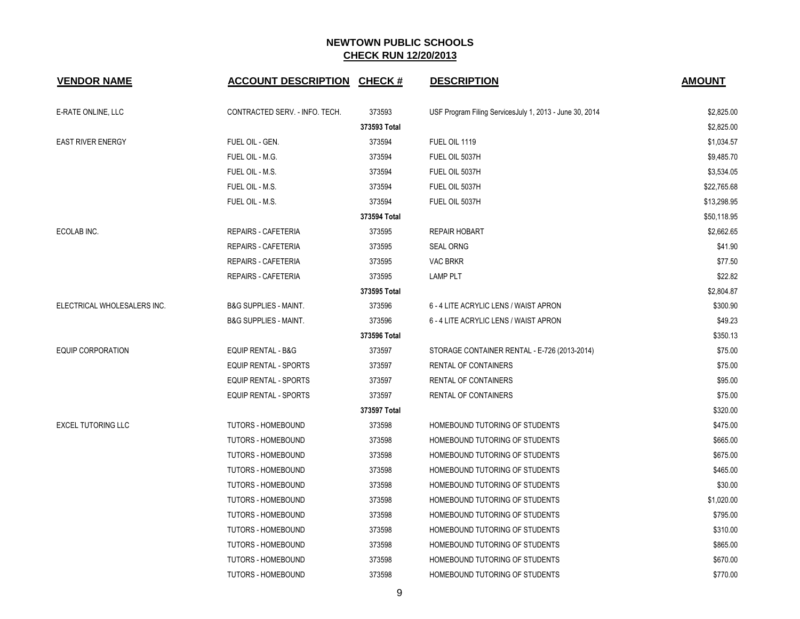| <b>VENDOR NAME</b>          | <b>ACCOUNT DESCRIPTION CHECK #</b> |              | <b>DESCRIPTION</b>                                      | <b>AMOUNT</b> |
|-----------------------------|------------------------------------|--------------|---------------------------------------------------------|---------------|
| E-RATE ONLINE, LLC          | CONTRACTED SERV. - INFO. TECH.     | 373593       | USF Program Filing ServicesJuly 1, 2013 - June 30, 2014 | \$2,825.00    |
|                             |                                    | 373593 Total |                                                         | \$2,825.00    |
| <b>EAST RIVER ENERGY</b>    | FUEL OIL - GEN.                    | 373594       | FUEL OIL 1119                                           | \$1,034.57    |
|                             | FUEL OIL - M.G.                    | 373594       | FUEL OIL 5037H                                          | \$9,485.70    |
|                             | FUEL OIL - M.S.                    | 373594       | FUEL OIL 5037H                                          | \$3,534.05    |
|                             | FUEL OIL - M.S.                    | 373594       | FUEL OIL 5037H                                          | \$22,765.68   |
|                             | FUEL OIL - M.S.                    | 373594       | FUEL OIL 5037H                                          | \$13,298.95   |
|                             |                                    | 373594 Total |                                                         | \$50,118.95   |
| ECOLAB INC.                 | REPAIRS - CAFETERIA                | 373595       | <b>REPAIR HOBART</b>                                    | \$2,662.65    |
|                             | <b>REPAIRS - CAFETERIA</b>         | 373595       | <b>SEAL ORNG</b>                                        | \$41.90       |
|                             | REPAIRS - CAFETERIA                | 373595       | <b>VAC BRKR</b>                                         | \$77.50       |
|                             | REPAIRS - CAFETERIA                | 373595       | <b>LAMP PLT</b>                                         | \$22.82       |
|                             |                                    | 373595 Total |                                                         | \$2,804.87    |
| ELECTRICAL WHOLESALERS INC. | <b>B&amp;G SUPPLIES - MAINT.</b>   | 373596       | 6 - 4 LITE ACRYLIC LENS / WAIST APRON                   | \$300.90      |
|                             | <b>B&amp;G SUPPLIES - MAINT.</b>   | 373596       | 6 - 4 LITE ACRYLIC LENS / WAIST APRON                   | \$49.23       |
|                             |                                    | 373596 Total |                                                         | \$350.13      |
| <b>EQUIP CORPORATION</b>    | <b>EQUIP RENTAL - B&amp;G</b>      | 373597       | STORAGE CONTAINER RENTAL - E-726 (2013-2014)            | \$75.00       |
|                             | <b>EQUIP RENTAL - SPORTS</b>       | 373597       | RENTAL OF CONTAINERS                                    | \$75.00       |
|                             | <b>EQUIP RENTAL - SPORTS</b>       | 373597       | RENTAL OF CONTAINERS                                    | \$95.00       |
|                             | <b>EQUIP RENTAL - SPORTS</b>       | 373597       | RENTAL OF CONTAINERS                                    | \$75.00       |
|                             |                                    | 373597 Total |                                                         | \$320.00      |
| <b>EXCEL TUTORING LLC</b>   | <b>TUTORS - HOMEBOUND</b>          | 373598       | HOMEBOUND TUTORING OF STUDENTS                          | \$475.00      |
|                             | TUTORS - HOMEBOUND                 | 373598       | HOMEBOUND TUTORING OF STUDENTS                          | \$665.00      |
|                             | TUTORS - HOMEBOUND                 | 373598       | HOMEBOUND TUTORING OF STUDENTS                          | \$675.00      |
|                             | TUTORS - HOMEBOUND                 | 373598       | HOMEBOUND TUTORING OF STUDENTS                          | \$465.00      |
|                             | <b>TUTORS - HOMEBOUND</b>          | 373598       | HOMEBOUND TUTORING OF STUDENTS                          | \$30.00       |
|                             | <b>TUTORS - HOMEBOUND</b>          | 373598       | HOMEBOUND TUTORING OF STUDENTS                          | \$1,020.00    |
|                             | <b>TUTORS - HOMEBOUND</b>          | 373598       | HOMEBOUND TUTORING OF STUDENTS                          | \$795.00      |
|                             | <b>TUTORS - HOMEBOUND</b>          | 373598       | HOMEBOUND TUTORING OF STUDENTS                          | \$310.00      |
|                             | <b>TUTORS - HOMEBOUND</b>          | 373598       | HOMEBOUND TUTORING OF STUDENTS                          | \$865.00      |
|                             | TUTORS - HOMEBOUND                 | 373598       | HOMEBOUND TUTORING OF STUDENTS                          | \$670.00      |
|                             | TUTORS - HOMEBOUND                 | 373598       | HOMEBOUND TUTORING OF STUDENTS                          | \$770.00      |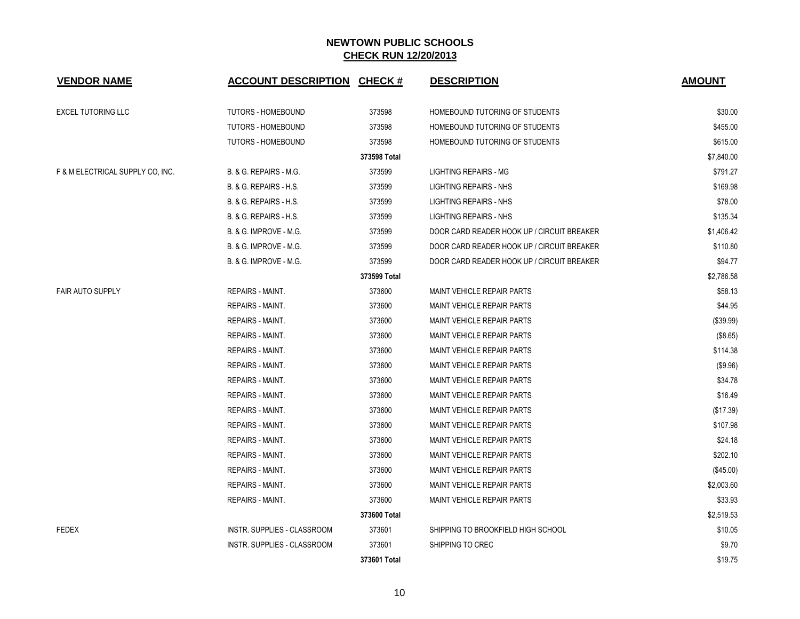| <b>VENDOR NAME</b>               | <b>ACCOUNT DESCRIPTION CHECK #</b> |              | <b>DESCRIPTION</b>                         | <b>AMOUNT</b> |
|----------------------------------|------------------------------------|--------------|--------------------------------------------|---------------|
| <b>EXCEL TUTORING LLC</b>        | <b>TUTORS - HOMEBOUND</b>          | 373598       | HOMEBOUND TUTORING OF STUDENTS             | \$30.00       |
|                                  | <b>TUTORS - HOMEBOUND</b>          | 373598       | HOMEBOUND TUTORING OF STUDENTS             | \$455.00      |
|                                  | <b>TUTORS - HOMEBOUND</b>          | 373598       | HOMEBOUND TUTORING OF STUDENTS             | \$615.00      |
|                                  |                                    | 373598 Total |                                            | \$7,840.00    |
| F & M ELECTRICAL SUPPLY CO, INC. | B. & G. REPAIRS - M.G.             | 373599       | <b>LIGHTING REPAIRS - MG</b>               | \$791.27      |
|                                  | B. & G. REPAIRS - H.S.             | 373599       | <b>LIGHTING REPAIRS - NHS</b>              | \$169.98      |
|                                  | B. & G. REPAIRS - H.S.             | 373599       | <b>LIGHTING REPAIRS - NHS</b>              | \$78.00       |
|                                  | B. & G. REPAIRS - H.S.             | 373599       | LIGHTING REPAIRS - NHS                     | \$135.34      |
|                                  | B. & G. IMPROVE - M.G.             | 373599       | DOOR CARD READER HOOK UP / CIRCUIT BREAKER | \$1,406.42    |
|                                  | <b>B. &amp; G. IMPROVE - M.G.</b>  | 373599       | DOOR CARD READER HOOK UP / CIRCUIT BREAKER | \$110.80      |
|                                  | B. & G. IMPROVE - M.G.             | 373599       | DOOR CARD READER HOOK UP / CIRCUIT BREAKER | \$94.77       |
|                                  |                                    | 373599 Total |                                            | \$2,786.58    |
| <b>FAIR AUTO SUPPLY</b>          | REPAIRS - MAINT.                   | 373600       | <b>MAINT VEHICLE REPAIR PARTS</b>          | \$58.13       |
|                                  | REPAIRS - MAINT.                   | 373600       | MAINT VEHICLE REPAIR PARTS                 | \$44.95       |
|                                  | <b>REPAIRS - MAINT.</b>            | 373600       | MAINT VEHICLE REPAIR PARTS                 | (\$39.99)     |
|                                  | REPAIRS - MAINT.                   | 373600       | <b>MAINT VEHICLE REPAIR PARTS</b>          | (\$8.65)      |
|                                  | <b>REPAIRS - MAINT.</b>            | 373600       | <b>MAINT VEHICLE REPAIR PARTS</b>          | \$114.38      |
|                                  | <b>REPAIRS - MAINT.</b>            | 373600       | <b>MAINT VEHICLE REPAIR PARTS</b>          | (\$9.96)      |
|                                  | <b>REPAIRS - MAINT.</b>            | 373600       | <b>MAINT VEHICLE REPAIR PARTS</b>          | \$34.78       |
|                                  | REPAIRS - MAINT.                   | 373600       | <b>MAINT VEHICLE REPAIR PARTS</b>          | \$16.49       |
|                                  | <b>REPAIRS - MAINT.</b>            | 373600       | <b>MAINT VEHICLE REPAIR PARTS</b>          | (\$17.39)     |
|                                  | REPAIRS - MAINT.                   | 373600       | <b>MAINT VEHICLE REPAIR PARTS</b>          | \$107.98      |
|                                  | <b>REPAIRS - MAINT.</b>            | 373600       | <b>MAINT VEHICLE REPAIR PARTS</b>          | \$24.18       |
|                                  | REPAIRS - MAINT.                   | 373600       | <b>MAINT VEHICLE REPAIR PARTS</b>          | \$202.10      |
|                                  | <b>REPAIRS - MAINT.</b>            | 373600       | <b>MAINT VEHICLE REPAIR PARTS</b>          | $(\$45.00)$   |
|                                  | REPAIRS - MAINT.                   | 373600       | <b>MAINT VEHICLE REPAIR PARTS</b>          | \$2,003.60    |
|                                  | REPAIRS - MAINT.                   | 373600       | <b>MAINT VEHICLE REPAIR PARTS</b>          | \$33.93       |
|                                  |                                    | 373600 Total |                                            | \$2,519.53    |
| <b>FEDEX</b>                     | INSTR. SUPPLIES - CLASSROOM        | 373601       | SHIPPING TO BROOKFIELD HIGH SCHOOL         | \$10.05       |
|                                  | <b>INSTR. SUPPLIES - CLASSROOM</b> | 373601       | SHIPPING TO CREC                           | \$9.70        |
|                                  |                                    | 373601 Total |                                            | \$19.75       |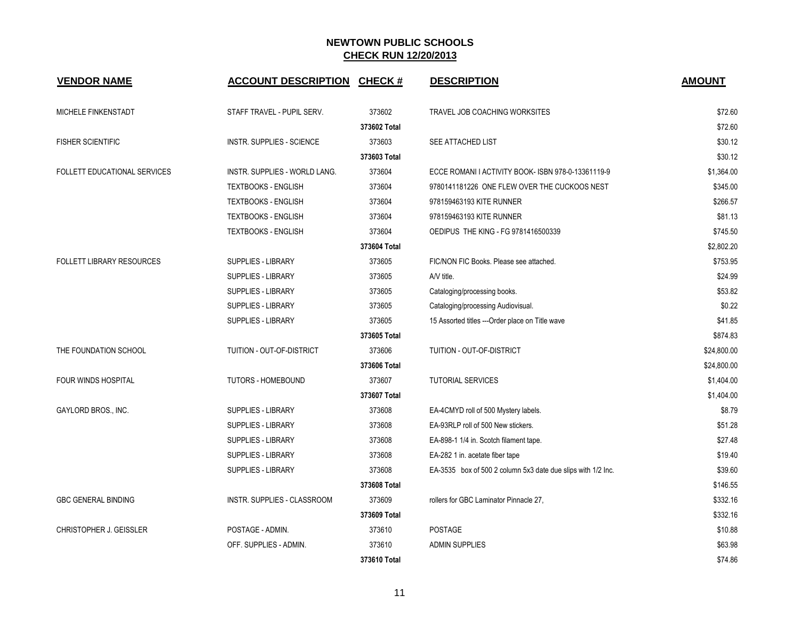| <b>VENDOR NAME</b>                  | <b>ACCOUNT DESCRIPTION</b>       | <b>CHECK#</b> | <b>DESCRIPTION</b>                                           | <b>AMOUNT</b> |
|-------------------------------------|----------------------------------|---------------|--------------------------------------------------------------|---------------|
| MICHELE FINKENSTADT                 | STAFF TRAVEL - PUPIL SERV.       | 373602        | TRAVEL JOB COACHING WORKSITES                                | \$72.60       |
|                                     |                                  | 373602 Total  |                                                              | \$72.60       |
| <b>FISHER SCIENTIFIC</b>            | <b>INSTR. SUPPLIES - SCIENCE</b> | 373603        | SEE ATTACHED LIST                                            | \$30.12       |
|                                     |                                  | 373603 Total  |                                                              | \$30.12       |
| <b>FOLLETT EDUCATIONAL SERVICES</b> | INSTR. SUPPLIES - WORLD LANG.    | 373604        | ECCE ROMANI I ACTIVITY BOOK-ISBN 978-0-13361119-9            | \$1,364.00    |
|                                     | <b>TEXTBOOKS - ENGLISH</b>       | 373604        | 9780141181226 ONE FLEW OVER THE CUCKOOS NEST                 | \$345.00      |
|                                     | <b>TEXTBOOKS - ENGLISH</b>       | 373604        | 978159463193 KITE RUNNER                                     | \$266.57      |
|                                     | <b>TEXTBOOKS - ENGLISH</b>       | 373604        | 978159463193 KITE RUNNER                                     | \$81.13       |
|                                     | <b>TEXTBOOKS - ENGLISH</b>       | 373604        | OEDIPUS THE KING - FG 9781416500339                          | \$745.50      |
|                                     |                                  | 373604 Total  |                                                              | \$2,802.20    |
| <b>FOLLETT LIBRARY RESOURCES</b>    | <b>SUPPLIES - LIBRARY</b>        | 373605        | FIC/NON FIC Books. Please see attached.                      | \$753.95      |
|                                     | <b>SUPPLIES - LIBRARY</b>        | 373605        | A/V title.                                                   | \$24.99       |
|                                     | SUPPLIES - LIBRARY               | 373605        | Cataloging/processing books.                                 | \$53.82       |
|                                     | <b>SUPPLIES - LIBRARY</b>        | 373605        | Cataloging/processing Audiovisual.                           | \$0.22        |
|                                     | <b>SUPPLIES - LIBRARY</b>        | 373605        | 15 Assorted titles --- Order place on Title wave             | \$41.85       |
|                                     |                                  | 373605 Total  |                                                              | \$874.83      |
| THE FOUNDATION SCHOOL               | TUITION - OUT-OF-DISTRICT        | 373606        | TUITION - OUT-OF-DISTRICT                                    | \$24,800.00   |
|                                     |                                  | 373606 Total  |                                                              | \$24,800.00   |
| FOUR WINDS HOSPITAL                 | <b>TUTORS - HOMEBOUND</b>        | 373607        | <b>TUTORIAL SERVICES</b>                                     | \$1,404.00    |
|                                     |                                  | 373607 Total  |                                                              | \$1,404.00    |
| GAYLORD BROS., INC.                 | <b>SUPPLIES - LIBRARY</b>        | 373608        | EA-4CMYD roll of 500 Mystery labels.                         | \$8.79        |
|                                     | <b>SUPPLIES - LIBRARY</b>        | 373608        | EA-93RLP roll of 500 New stickers.                           | \$51.28       |
|                                     | <b>SUPPLIES - LIBRARY</b>        | 373608        | EA-898-1 1/4 in. Scotch filament tape.                       | \$27.48       |
|                                     | <b>SUPPLIES - LIBRARY</b>        | 373608        | EA-282 1 in. acetate fiber tape                              | \$19.40       |
|                                     | <b>SUPPLIES - LIBRARY</b>        | 373608        | EA-3535 box of 500 2 column 5x3 date due slips with 1/2 lnc. | \$39.60       |
|                                     |                                  | 373608 Total  |                                                              | \$146.55      |
| <b>GBC GENERAL BINDING</b>          | INSTR. SUPPLIES - CLASSROOM      | 373609        | rollers for GBC Laminator Pinnacle 27,                       | \$332.16      |
|                                     |                                  | 373609 Total  |                                                              | \$332.16      |
| CHRISTOPHER J. GEISSLER             | POSTAGE - ADMIN.                 | 373610        | <b>POSTAGE</b>                                               | \$10.88       |
|                                     | OFF. SUPPLIES - ADMIN.           | 373610        | <b>ADMIN SUPPLIES</b>                                        | \$63.98       |
|                                     |                                  | 373610 Total  |                                                              | \$74.86       |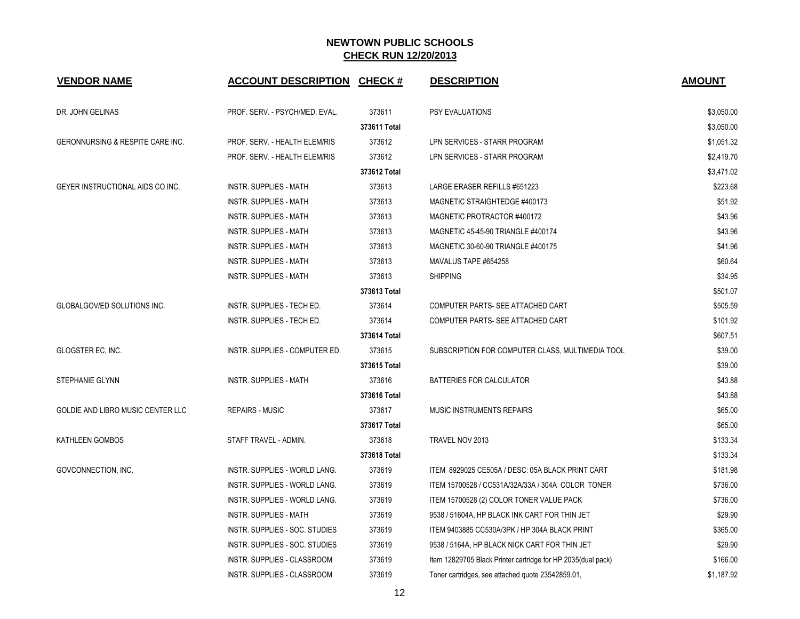| <b>VENDOR NAME</b>                       | <b>ACCOUNT DESCRIPTION CHECK #</b> |              | <b>DESCRIPTION</b>                                           | <b>AMOUNT</b> |
|------------------------------------------|------------------------------------|--------------|--------------------------------------------------------------|---------------|
| DR. JOHN GELINAS                         | PROF. SERV. - PSYCH/MED. EVAL.     | 373611       | <b>PSY EVALUATIONS</b>                                       | \$3,050.00    |
|                                          |                                    | 373611 Total |                                                              | \$3,050.00    |
| GERONNURSING & RESPITE CARE INC.         | PROF. SERV. - HEALTH ELEM/RIS      | 373612       | LPN SERVICES - STARR PROGRAM                                 | \$1,051.32    |
|                                          | PROF. SERV. - HEALTH ELEM/RIS      | 373612       | LPN SERVICES - STARR PROGRAM                                 | \$2,419.70    |
|                                          |                                    | 373612 Total |                                                              | \$3,471.02    |
| GEYER INSTRUCTIONAL AIDS CO INC.         | <b>INSTR. SUPPLIES - MATH</b>      | 373613       | LARGE ERASER REFILLS #651223                                 | \$223.68      |
|                                          | <b>INSTR. SUPPLIES - MATH</b>      | 373613       | MAGNETIC STRAIGHTEDGE #400173                                | \$51.92       |
|                                          | <b>INSTR. SUPPLIES - MATH</b>      | 373613       | MAGNETIC PROTRACTOR #400172                                  | \$43.96       |
|                                          | INSTR. SUPPLIES - MATH             | 373613       | MAGNETIC 45-45-90 TRIANGLE #400174                           | \$43.96       |
|                                          | <b>INSTR. SUPPLIES - MATH</b>      | 373613       | MAGNETIC 30-60-90 TRIANGLE #400175                           | \$41.96       |
|                                          | INSTR. SUPPLIES - MATH             | 373613       | MAVALUS TAPE #654258                                         | \$60.64       |
|                                          | <b>INSTR. SUPPLIES - MATH</b>      | 373613       | <b>SHIPPING</b>                                              | \$34.95       |
|                                          |                                    | 373613 Total |                                                              | \$501.07      |
| <b>GLOBALGOV/ED SOLUTIONS INC.</b>       | INSTR. SUPPLIES - TECH ED.         | 373614       | COMPUTER PARTS- SEE ATTACHED CART                            | \$505.59      |
|                                          | INSTR. SUPPLIES - TECH ED.         | 373614       | COMPUTER PARTS- SEE ATTACHED CART                            | \$101.92      |
|                                          |                                    | 373614 Total |                                                              | \$607.51      |
| GLOGSTER EC, INC.                        | INSTR. SUPPLIES - COMPUTER ED.     | 373615       | SUBSCRIPTION FOR COMPUTER CLASS, MULTIMEDIA TOOL             | \$39.00       |
|                                          |                                    | 373615 Total |                                                              | \$39.00       |
| STEPHANIE GLYNN                          | <b>INSTR. SUPPLIES - MATH</b>      | 373616       | BATTERIES FOR CALCULATOR                                     | \$43.88       |
|                                          |                                    | 373616 Total |                                                              | \$43.88       |
| <b>GOLDIE AND LIBRO MUSIC CENTER LLC</b> | <b>REPAIRS - MUSIC</b>             | 373617       | <b>MUSIC INSTRUMENTS REPAIRS</b>                             | \$65.00       |
|                                          |                                    | 373617 Total |                                                              | \$65.00       |
| KATHLEEN GOMBOS                          | STAFF TRAVEL - ADMIN.              | 373618       | TRAVEL NOV 2013                                              | \$133.34      |
|                                          |                                    | 373618 Total |                                                              | \$133.34      |
| GOVCONNECTION, INC.                      | INSTR. SUPPLIES - WORLD LANG.      | 373619       | ITEM 8929025 CE505A / DESC: 05A BLACK PRINT CART             | \$181.98      |
|                                          | INSTR. SUPPLIES - WORLD LANG.      | 373619       | ITEM 15700528 / CC531A/32A/33A / 304A COLOR TONER            | \$736.00      |
|                                          | INSTR. SUPPLIES - WORLD LANG.      | 373619       | ITEM 15700528 (2) COLOR TONER VALUE PACK                     | \$736.00      |
|                                          | <b>INSTR. SUPPLIES - MATH</b>      | 373619       | 9538 / 51604A, HP BLACK INK CART FOR THIN JET                | \$29.90       |
|                                          | INSTR. SUPPLIES - SOC. STUDIES     | 373619       | ITEM 9403885 CC530A/3PK / HP 304A BLACK PRINT                | \$365.00      |
|                                          | INSTR. SUPPLIES - SOC. STUDIES     | 373619       | 9538 / 5164A, HP BLACK NICK CART FOR THIN JET                | \$29.90       |
|                                          | INSTR. SUPPLIES - CLASSROOM        | 373619       | Item 12829705 Black Printer cartridge for HP 2035(dual pack) | \$166.00      |
|                                          | INSTR. SUPPLIES - CLASSROOM        | 373619       | Toner cartridges, see attached quote 23542859.01,            | \$1,187.92    |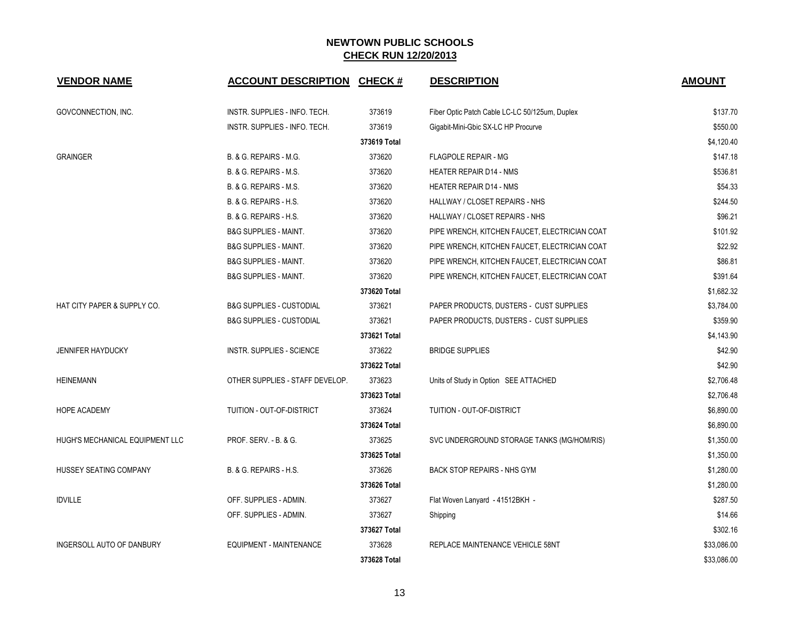| <b>VENDOR NAME</b>               | <b>ACCOUNT DESCRIPTION</b>          | <b>CHECK#</b> | <b>DESCRIPTION</b>                             | <b>AMOUNT</b> |
|----------------------------------|-------------------------------------|---------------|------------------------------------------------|---------------|
| GOVCONNECTION, INC.              | INSTR. SUPPLIES - INFO. TECH.       | 373619        | Fiber Optic Patch Cable LC-LC 50/125um, Duplex | \$137.70      |
|                                  | INSTR. SUPPLIES - INFO. TECH.       | 373619        | Gigabit-Mini-Gbic SX-LC HP Procurve            | \$550.00      |
|                                  |                                     | 373619 Total  |                                                | \$4,120.40    |
| <b>GRAINGER</b>                  | B. & G. REPAIRS - M.G.              | 373620        | <b>FLAGPOLE REPAIR - MG</b>                    | \$147.18      |
|                                  | B. & G. REPAIRS - M.S.              | 373620        | <b>HEATER REPAIR D14 - NMS</b>                 | \$536.81      |
|                                  | B. & G. REPAIRS - M.S.              | 373620        | <b>HEATER REPAIR D14 - NMS</b>                 | \$54.33       |
|                                  | B. & G. REPAIRS - H.S.              | 373620        | HALLWAY / CLOSET REPAIRS - NHS                 | \$244.50      |
|                                  | B. & G. REPAIRS - H.S.              | 373620        | HALLWAY / CLOSET REPAIRS - NHS                 | \$96.21       |
|                                  | <b>B&amp;G SUPPLIES - MAINT.</b>    | 373620        | PIPE WRENCH, KITCHEN FAUCET, ELECTRICIAN COAT  | \$101.92      |
|                                  | <b>B&amp;G SUPPLIES - MAINT.</b>    | 373620        | PIPE WRENCH, KITCHEN FAUCET, ELECTRICIAN COAT  | \$22.92       |
|                                  | <b>B&amp;G SUPPLIES - MAINT.</b>    | 373620        | PIPE WRENCH, KITCHEN FAUCET, ELECTRICIAN COAT  | \$86.81       |
|                                  | <b>B&amp;G SUPPLIES - MAINT.</b>    | 373620        | PIPE WRENCH, KITCHEN FAUCET, ELECTRICIAN COAT  | \$391.64      |
|                                  |                                     | 373620 Total  |                                                | \$1,682.32    |
| HAT CITY PAPER & SUPPLY CO.      | <b>B&amp;G SUPPLIES - CUSTODIAL</b> | 373621        | PAPER PRODUCTS, DUSTERS - CUST SUPPLIES        | \$3,784.00    |
|                                  | <b>B&amp;G SUPPLIES - CUSTODIAL</b> | 373621        | PAPER PRODUCTS, DUSTERS - CUST SUPPLIES        | \$359.90      |
|                                  |                                     | 373621 Total  |                                                | \$4,143.90    |
| <b>JENNIFER HAYDUCKY</b>         | <b>INSTR. SUPPLIES - SCIENCE</b>    | 373622        | <b>BRIDGE SUPPLIES</b>                         | \$42.90       |
|                                  |                                     | 373622 Total  |                                                | \$42.90       |
| <b>HEINEMANN</b>                 | OTHER SUPPLIES - STAFF DEVELOP.     | 373623        | Units of Study in Option SEE ATTACHED          | \$2,706.48    |
|                                  |                                     | 373623 Total  |                                                | \$2,706.48    |
| <b>HOPE ACADEMY</b>              | TUITION - OUT-OF-DISTRICT           | 373624        | <b>TUITION - OUT-OF-DISTRICT</b>               | \$6,890.00    |
|                                  |                                     | 373624 Total  |                                                | \$6,890.00    |
| HUGH'S MECHANICAL EQUIPMENT LLC  | <b>PROF. SERV. - B. &amp; G.</b>    | 373625        | SVC UNDERGROUND STORAGE TANKS (MG/HOM/RIS)     | \$1,350.00    |
|                                  |                                     | 373625 Total  |                                                | \$1,350.00    |
| HUSSEY SEATING COMPANY           | B. & G. REPAIRS - H.S.              | 373626        | <b>BACK STOP REPAIRS - NHS GYM</b>             | \$1,280.00    |
|                                  |                                     | 373626 Total  |                                                | \$1,280.00    |
| <b>IDVILLE</b>                   | OFF. SUPPLIES - ADMIN.              | 373627        | Flat Woven Lanyard - 41512BKH -                | \$287.50      |
|                                  | OFF. SUPPLIES - ADMIN.              | 373627        | Shipping                                       | \$14.66       |
|                                  |                                     | 373627 Total  |                                                | \$302.16      |
| <b>INGERSOLL AUTO OF DANBURY</b> | <b>EQUIPMENT - MAINTENANCE</b>      | 373628        | REPLACE MAINTENANCE VEHICLE 58NT               | \$33,086.00   |
|                                  |                                     | 373628 Total  |                                                | \$33,086.00   |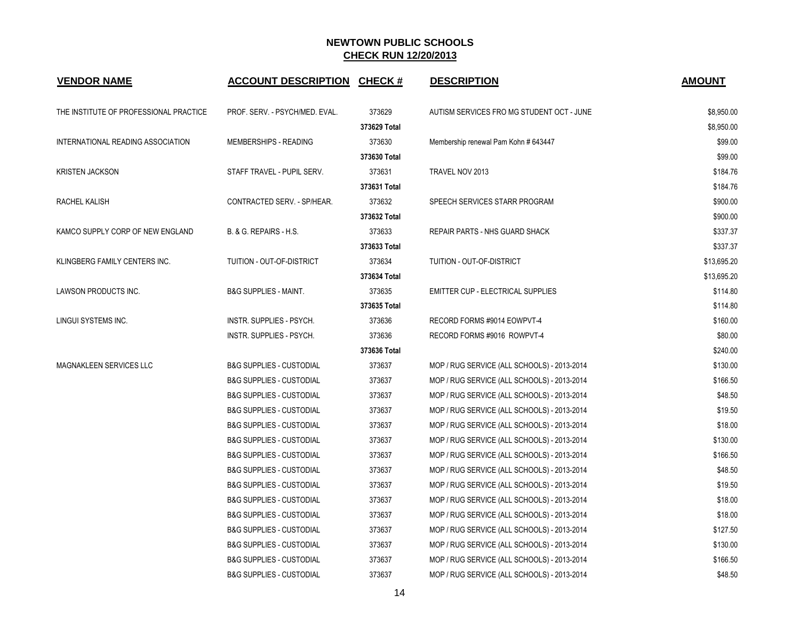| <b>VENDOR NAME</b>                     | <b>ACCOUNT DESCRIPTION CHECK #</b>  |              | <b>DESCRIPTION</b>                          | <b>AMOUNT</b> |
|----------------------------------------|-------------------------------------|--------------|---------------------------------------------|---------------|
| THE INSTITUTE OF PROFESSIONAL PRACTICE | PROF. SERV. - PSYCH/MED. EVAL.      | 373629       | AUTISM SERVICES FRO MG STUDENT OCT - JUNE   | \$8,950.00    |
|                                        |                                     | 373629 Total |                                             | \$8,950.00    |
| INTERNATIONAL READING ASSOCIATION      | MEMBERSHIPS - READING               | 373630       | Membership renewal Pam Kohn # 643447        | \$99.00       |
|                                        |                                     | 373630 Total |                                             | \$99.00       |
| <b>KRISTEN JACKSON</b>                 | STAFF TRAVEL - PUPIL SERV.          | 373631       | TRAVEL NOV 2013                             | \$184.76      |
|                                        |                                     | 373631 Total |                                             | \$184.76      |
| RACHEL KALISH                          | CONTRACTED SERV. - SP/HEAR.         | 373632       | SPEECH SERVICES STARR PROGRAM               | \$900.00      |
|                                        |                                     | 373632 Total |                                             | \$900.00      |
| KAMCO SUPPLY CORP OF NEW ENGLAND       | B. & G. REPAIRS - H.S.              | 373633       | <b>REPAIR PARTS - NHS GUARD SHACK</b>       | \$337.37      |
|                                        |                                     | 373633 Total |                                             | \$337.37      |
| KLINGBERG FAMILY CENTERS INC.          | TUITION - OUT-OF-DISTRICT           | 373634       | TUITION - OUT-OF-DISTRICT                   | \$13,695.20   |
|                                        |                                     | 373634 Total |                                             | \$13,695.20   |
| LAWSON PRODUCTS INC.                   | <b>B&amp;G SUPPLIES - MAINT.</b>    | 373635       | EMITTER CUP - ELECTRICAL SUPPLIES           | \$114.80      |
|                                        |                                     | 373635 Total |                                             | \$114.80      |
| LINGUI SYSTEMS INC.                    | INSTR. SUPPLIES - PSYCH.            | 373636       | RECORD FORMS #9014 EOWPVT-4                 | \$160.00      |
|                                        | INSTR. SUPPLIES - PSYCH.            | 373636       | RECORD FORMS #9016 ROWPVT-4                 | \$80.00       |
|                                        |                                     | 373636 Total |                                             | \$240.00      |
| MAGNAKLEEN SERVICES LLC                | <b>B&amp;G SUPPLIES - CUSTODIAL</b> | 373637       | MOP / RUG SERVICE (ALL SCHOOLS) - 2013-2014 | \$130.00      |
|                                        | <b>B&amp;G SUPPLIES - CUSTODIAL</b> | 373637       | MOP / RUG SERVICE (ALL SCHOOLS) - 2013-2014 | \$166.50      |
|                                        | <b>B&amp;G SUPPLIES - CUSTODIAL</b> | 373637       | MOP / RUG SERVICE (ALL SCHOOLS) - 2013-2014 | \$48.50       |
|                                        | <b>B&amp;G SUPPLIES - CUSTODIAL</b> | 373637       | MOP / RUG SERVICE (ALL SCHOOLS) - 2013-2014 | \$19.50       |
|                                        | <b>B&amp;G SUPPLIES - CUSTODIAL</b> | 373637       | MOP / RUG SERVICE (ALL SCHOOLS) - 2013-2014 | \$18.00       |
|                                        | <b>B&amp;G SUPPLIES - CUSTODIAL</b> | 373637       | MOP / RUG SERVICE (ALL SCHOOLS) - 2013-2014 | \$130.00      |
|                                        | <b>B&amp;G SUPPLIES - CUSTODIAL</b> | 373637       | MOP / RUG SERVICE (ALL SCHOOLS) - 2013-2014 | \$166.50      |
|                                        | <b>B&amp;G SUPPLIES - CUSTODIAL</b> | 373637       | MOP / RUG SERVICE (ALL SCHOOLS) - 2013-2014 | \$48.50       |
|                                        | <b>B&amp;G SUPPLIES - CUSTODIAL</b> | 373637       | MOP / RUG SERVICE (ALL SCHOOLS) - 2013-2014 | \$19.50       |
|                                        | <b>B&amp;G SUPPLIES - CUSTODIAL</b> | 373637       | MOP / RUG SERVICE (ALL SCHOOLS) - 2013-2014 | \$18.00       |
|                                        | <b>B&amp;G SUPPLIES - CUSTODIAL</b> | 373637       | MOP / RUG SERVICE (ALL SCHOOLS) - 2013-2014 | \$18.00       |
|                                        | <b>B&amp;G SUPPLIES - CUSTODIAL</b> | 373637       | MOP / RUG SERVICE (ALL SCHOOLS) - 2013-2014 | \$127.50      |
|                                        | <b>B&amp;G SUPPLIES - CUSTODIAL</b> | 373637       | MOP / RUG SERVICE (ALL SCHOOLS) - 2013-2014 | \$130.00      |
|                                        | <b>B&amp;G SUPPLIES - CUSTODIAL</b> | 373637       | MOP / RUG SERVICE (ALL SCHOOLS) - 2013-2014 | \$166.50      |
|                                        | <b>B&amp;G SUPPLIES - CUSTODIAL</b> | 373637       | MOP / RUG SERVICE (ALL SCHOOLS) - 2013-2014 | \$48.50       |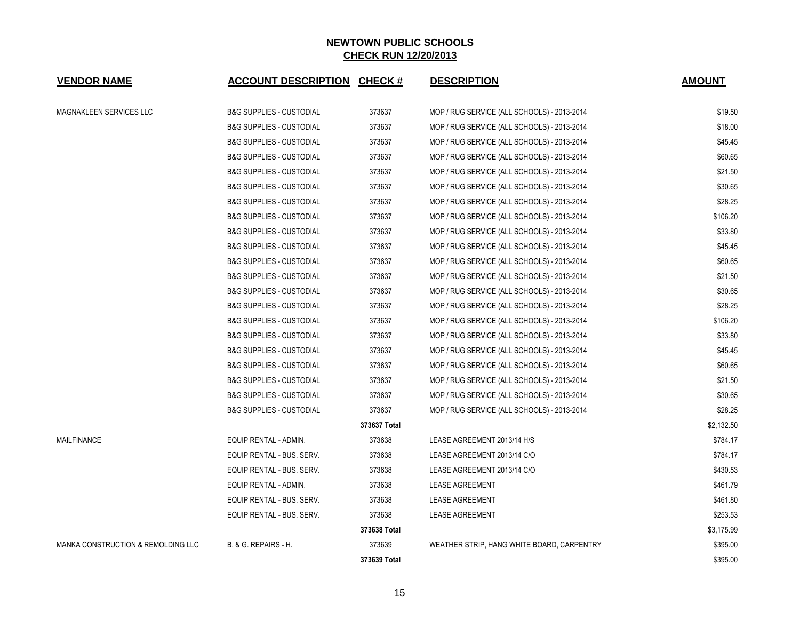| <b>VENDOR NAME</b>                 | <b>ACCOUNT DESCRIPTION CHECK #</b>  |              | <b>DESCRIPTION</b>                          | <b>AMOUNT</b> |
|------------------------------------|-------------------------------------|--------------|---------------------------------------------|---------------|
| MAGNAKLEEN SERVICES LLC            | <b>B&amp;G SUPPLIES - CUSTODIAL</b> | 373637       | MOP / RUG SERVICE (ALL SCHOOLS) - 2013-2014 | \$19.50       |
|                                    | <b>B&amp;G SUPPLIES - CUSTODIAL</b> | 373637       | MOP / RUG SERVICE (ALL SCHOOLS) - 2013-2014 | \$18.00       |
|                                    | <b>B&amp;G SUPPLIES - CUSTODIAL</b> | 373637       | MOP / RUG SERVICE (ALL SCHOOLS) - 2013-2014 | \$45.45       |
|                                    | <b>B&amp;G SUPPLIES - CUSTODIAL</b> | 373637       | MOP / RUG SERVICE (ALL SCHOOLS) - 2013-2014 | \$60.65       |
|                                    | <b>B&amp;G SUPPLIES - CUSTODIAL</b> | 373637       | MOP / RUG SERVICE (ALL SCHOOLS) - 2013-2014 | \$21.50       |
|                                    | <b>B&amp;G SUPPLIES - CUSTODIAL</b> | 373637       | MOP / RUG SERVICE (ALL SCHOOLS) - 2013-2014 | \$30.65       |
|                                    | <b>B&amp;G SUPPLIES - CUSTODIAL</b> | 373637       | MOP / RUG SERVICE (ALL SCHOOLS) - 2013-2014 | \$28.25       |
|                                    | <b>B&amp;G SUPPLIES - CUSTODIAL</b> | 373637       | MOP / RUG SERVICE (ALL SCHOOLS) - 2013-2014 | \$106.20      |
|                                    | <b>B&amp;G SUPPLIES - CUSTODIAL</b> | 373637       | MOP / RUG SERVICE (ALL SCHOOLS) - 2013-2014 | \$33.80       |
|                                    | <b>B&amp;G SUPPLIES - CUSTODIAL</b> | 373637       | MOP / RUG SERVICE (ALL SCHOOLS) - 2013-2014 | \$45.45       |
|                                    | <b>B&amp;G SUPPLIES - CUSTODIAL</b> | 373637       | MOP / RUG SERVICE (ALL SCHOOLS) - 2013-2014 | \$60.65       |
|                                    | <b>B&amp;G SUPPLIES - CUSTODIAL</b> | 373637       | MOP / RUG SERVICE (ALL SCHOOLS) - 2013-2014 | \$21.50       |
|                                    | <b>B&amp;G SUPPLIES - CUSTODIAL</b> | 373637       | MOP / RUG SERVICE (ALL SCHOOLS) - 2013-2014 | \$30.65       |
|                                    | <b>B&amp;G SUPPLIES - CUSTODIAL</b> | 373637       | MOP / RUG SERVICE (ALL SCHOOLS) - 2013-2014 | \$28.25       |
|                                    | <b>B&amp;G SUPPLIES - CUSTODIAL</b> | 373637       | MOP / RUG SERVICE (ALL SCHOOLS) - 2013-2014 | \$106.20      |
|                                    | <b>B&amp;G SUPPLIES - CUSTODIAL</b> | 373637       | MOP / RUG SERVICE (ALL SCHOOLS) - 2013-2014 | \$33.80       |
|                                    | <b>B&amp;G SUPPLIES - CUSTODIAL</b> | 373637       | MOP / RUG SERVICE (ALL SCHOOLS) - 2013-2014 | \$45.45       |
|                                    | <b>B&amp;G SUPPLIES - CUSTODIAL</b> | 373637       | MOP / RUG SERVICE (ALL SCHOOLS) - 2013-2014 | \$60.65       |
|                                    | <b>B&amp;G SUPPLIES - CUSTODIAL</b> | 373637       | MOP / RUG SERVICE (ALL SCHOOLS) - 2013-2014 | \$21.50       |
|                                    | <b>B&amp;G SUPPLIES - CUSTODIAL</b> | 373637       | MOP / RUG SERVICE (ALL SCHOOLS) - 2013-2014 | \$30.65       |
|                                    | <b>B&amp;G SUPPLIES - CUSTODIAL</b> | 373637       | MOP / RUG SERVICE (ALL SCHOOLS) - 2013-2014 | \$28.25       |
|                                    |                                     | 373637 Total |                                             | \$2,132.50    |
| <b>MAILFINANCE</b>                 | EQUIP RENTAL - ADMIN.               | 373638       | LEASE AGREEMENT 2013/14 H/S                 | \$784.17      |
|                                    | EQUIP RENTAL - BUS. SERV.           | 373638       | LEASE AGREEMENT 2013/14 C/O                 | \$784.17      |
|                                    | EQUIP RENTAL - BUS. SERV.           | 373638       | LEASE AGREEMENT 2013/14 C/O                 | \$430.53      |
|                                    | EQUIP RENTAL - ADMIN.               | 373638       | <b>LEASE AGREEMENT</b>                      | \$461.79      |
|                                    | EQUIP RENTAL - BUS. SERV.           | 373638       | <b>LEASE AGREEMENT</b>                      | \$461.80      |
|                                    | EQUIP RENTAL - BUS. SERV.           | 373638       | <b>LEASE AGREEMENT</b>                      | \$253.53      |
|                                    |                                     | 373638 Total |                                             | \$3,175.99    |
| MANKA CONSTRUCTION & REMOLDING LLC | B. & G. REPAIRS - H.                | 373639       | WEATHER STRIP, HANG WHITE BOARD, CARPENTRY  | \$395.00      |
|                                    |                                     | 373639 Total |                                             | \$395.00      |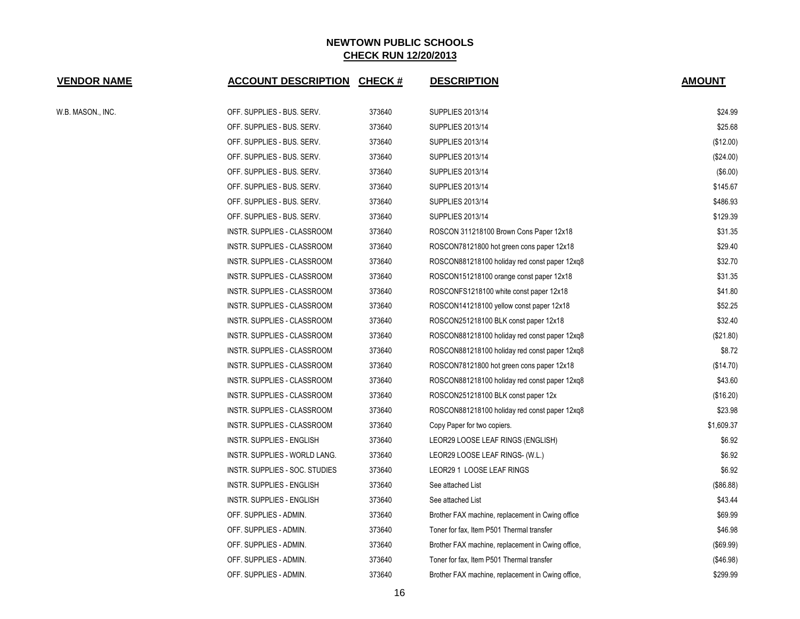| <b>VENDOR NAME</b> | <b>ACCOUNT DESCRIPTION CHECK #</b> |        | <b>DESCRIPTION</b>                                | <b>AMOUNT</b> |
|--------------------|------------------------------------|--------|---------------------------------------------------|---------------|
| W.B. MASON., INC.  | OFF. SUPPLIES - BUS. SERV.         | 373640 | <b>SUPPLIES 2013/14</b>                           | \$24.99       |
|                    | OFF. SUPPLIES - BUS. SERV.         | 373640 | <b>SUPPLIES 2013/14</b>                           | \$25.68       |
|                    | OFF. SUPPLIES - BUS. SERV.         | 373640 | SUPPLIES 2013/14                                  | (\$12.00)     |
|                    | OFF. SUPPLIES - BUS. SERV.         | 373640 | <b>SUPPLIES 2013/14</b>                           | $(\$24.00)$   |
|                    | OFF. SUPPLIES - BUS. SERV.         | 373640 | SUPPLIES 2013/14                                  | (\$6.00)      |
|                    | OFF. SUPPLIES - BUS. SERV.         | 373640 | SUPPLIES 2013/14                                  | \$145.67      |
|                    | OFF. SUPPLIES - BUS. SERV.         | 373640 | SUPPLIES 2013/14                                  | \$486.93      |
|                    | OFF. SUPPLIES - BUS. SERV.         | 373640 | <b>SUPPLIES 2013/14</b>                           | \$129.39      |
|                    | INSTR. SUPPLIES - CLASSROOM        | 373640 | ROSCON 311218100 Brown Cons Paper 12x18           | \$31.35       |
|                    | INSTR. SUPPLIES - CLASSROOM        | 373640 | ROSCON78121800 hot green cons paper 12x18         | \$29.40       |
|                    | INSTR. SUPPLIES - CLASSROOM        | 373640 | ROSCON881218100 holiday red const paper 12xq8     | \$32.70       |
|                    | INSTR. SUPPLIES - CLASSROOM        | 373640 | ROSCON151218100 orange const paper 12x18          | \$31.35       |
|                    | INSTR. SUPPLIES - CLASSROOM        | 373640 | ROSCONFS1218100 white const paper 12x18           | \$41.80       |
|                    | INSTR. SUPPLIES - CLASSROOM        | 373640 | ROSCON141218100 yellow const paper 12x18          | \$52.25       |
|                    | INSTR. SUPPLIES - CLASSROOM        | 373640 | ROSCON251218100 BLK const paper 12x18             | \$32.40       |
|                    | INSTR. SUPPLIES - CLASSROOM        | 373640 | ROSCON881218100 holiday red const paper 12xq8     | (\$21.80)     |
|                    | INSTR. SUPPLIES - CLASSROOM        | 373640 | ROSCON881218100 holiday red const paper 12xq8     | \$8.72        |
|                    | INSTR. SUPPLIES - CLASSROOM        | 373640 | ROSCON78121800 hot green cons paper 12x18         | (\$14.70)     |
|                    | INSTR. SUPPLIES - CLASSROOM        | 373640 | ROSCON881218100 holiday red const paper 12xq8     | \$43.60       |
|                    | INSTR. SUPPLIES - CLASSROOM        | 373640 | ROSCON251218100 BLK const paper 12x               | (\$16.20)     |
|                    | INSTR. SUPPLIES - CLASSROOM        | 373640 | ROSCON881218100 holiday red const paper 12xq8     | \$23.98       |
|                    | INSTR. SUPPLIES - CLASSROOM        | 373640 | Copy Paper for two copiers.                       | \$1,609.37    |
|                    | <b>INSTR. SUPPLIES - ENGLISH</b>   | 373640 | LEOR29 LOOSE LEAF RINGS (ENGLISH)                 | \$6.92        |
|                    | INSTR. SUPPLIES - WORLD LANG.      | 373640 | LEOR29 LOOSE LEAF RINGS- (W.L.)                   | \$6.92        |
|                    | INSTR. SUPPLIES - SOC. STUDIES     | 373640 | LEOR29 1 LOOSE LEAF RINGS                         | \$6.92        |
|                    | <b>INSTR. SUPPLIES - ENGLISH</b>   | 373640 | See attached List                                 | (\$86.88)     |
|                    | INSTR. SUPPLIES - ENGLISH          | 373640 | See attached List                                 | \$43.44       |
|                    | OFF. SUPPLIES - ADMIN.             | 373640 | Brother FAX machine, replacement in Cwing office  | \$69.99       |
|                    | OFF. SUPPLIES - ADMIN.             | 373640 | Toner for fax, Item P501 Thermal transfer         | \$46.98       |
|                    | OFF. SUPPLIES - ADMIN.             | 373640 | Brother FAX machine, replacement in Cwing office, | (\$69.99)     |
|                    | OFF. SUPPLIES - ADMIN.             | 373640 | Toner for fax, Item P501 Thermal transfer         | (\$46.98)     |
|                    | OFF. SUPPLIES - ADMIN.             | 373640 | Brother FAX machine, replacement in Cwing office, | \$299.99      |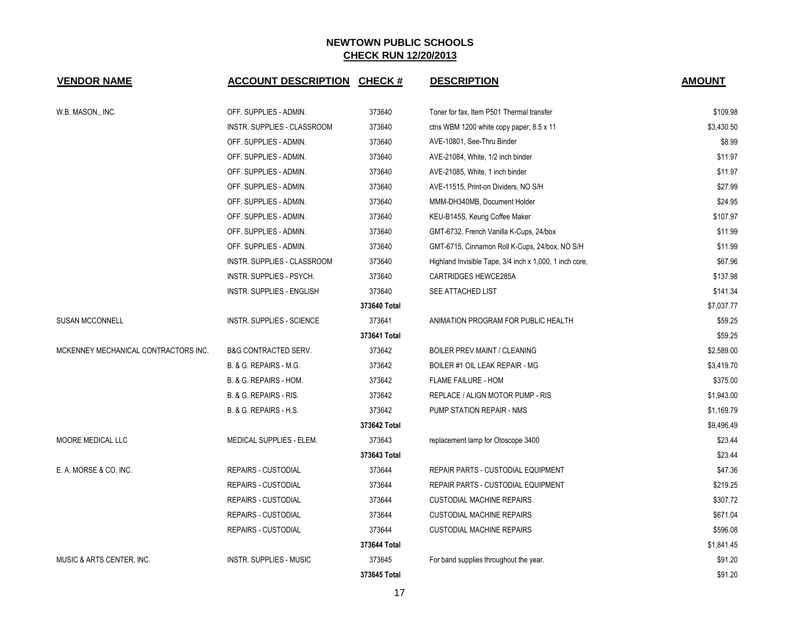| <b>VENDOR NAME</b>                   | <b>ACCOUNT DESCRIPTION</b>      | <b>CHECK#</b> | <b>DESCRIPTION</b>                                      | <b>AMOUNT</b> |
|--------------------------------------|---------------------------------|---------------|---------------------------------------------------------|---------------|
| W.B. MASON., INC.                    | OFF. SUPPLIES - ADMIN.          | 373640        | Toner for fax, Item P501 Thermal transfer               | \$109.98      |
|                                      | INSTR. SUPPLIES - CLASSROOM     | 373640        | ctns WBM 1200 white copy paper, 8.5 x 11                | \$3,430.50    |
|                                      | OFF. SUPPLIES - ADMIN.          | 373640        | AVE-10801, See-Thru Binder                              | \$8.99        |
|                                      | OFF. SUPPLIES - ADMIN.          | 373640        | AVE-21084, White, 1/2 inch binder                       | \$11.97       |
|                                      | OFF. SUPPLIES - ADMIN.          | 373640        | AVE-21085, White, 1 inch binder                         | \$11.97       |
|                                      | OFF. SUPPLIES - ADMIN.          | 373640        | AVE-11515, Print-on Dividers, NO S/H                    | \$27.99       |
|                                      | OFF. SUPPLIES - ADMIN.          | 373640        | MMM-DH340MB, Document Holder                            | \$24.95       |
|                                      | OFF. SUPPLIES - ADMIN.          | 373640        | KEU-B145S, Keurig Coffee Maker                          | \$107.97      |
|                                      | OFF. SUPPLIES - ADMIN.          | 373640        | GMT-6732, French Vanilla K-Cups, 24/box                 | \$11.99       |
|                                      | OFF. SUPPLIES - ADMIN.          | 373640        | GMT-6715, Cinnamon Roll K-Cups, 24/box, NO S/H          | \$11.99       |
|                                      | INSTR. SUPPLIES - CLASSROOM     | 373640        | Highland Invisible Tape, 3/4 inch x 1,000, 1 inch core, | \$67.96       |
|                                      | INSTR. SUPPLIES - PSYCH.        | 373640        | CARTRIDGES HEWCE285A                                    | \$137.98      |
|                                      | INSTR. SUPPLIES - ENGLISH       | 373640        | SEE ATTACHED LIST                                       | \$141.34      |
|                                      |                                 | 373640 Total  |                                                         | \$7,037.77    |
| <b>SUSAN MCCONNELL</b>               | INSTR. SUPPLIES - SCIENCE       | 373641        | ANIMATION PROGRAM FOR PUBLIC HEALTH                     | \$59.25       |
|                                      |                                 | 373641 Total  |                                                         | \$59.25       |
| MCKENNEY MECHANICAL CONTRACTORS INC. | <b>B&amp;G CONTRACTED SERV.</b> | 373642        | <b>BOILER PREV MAINT / CLEANING</b>                     | \$2,589.00    |
|                                      | B. & G. REPAIRS - M.G.          | 373642        | BOILER #1 OIL LEAK REPAIR - MG                          | \$3,419.70    |
|                                      | B. & G. REPAIRS - HOM.          | 373642        | FLAME FAILURE - HOM                                     | \$375.00      |
|                                      | B. & G. REPAIRS - RIS.          | 373642        | REPLACE / ALIGN MOTOR PUMP - RIS                        | \$1,943.00    |
|                                      | B. & G. REPAIRS - H.S.          | 373642        | PUMP STATION REPAIR - NMS                               | \$1,169.79    |
|                                      |                                 | 373642 Total  |                                                         | \$9,496.49    |
| MOORE MEDICAL LLC                    | MEDICAL SUPPLIES - ELEM.        | 373643        | replacement lamp for Otoscope 3400                      | \$23.44       |
|                                      |                                 | 373643 Total  |                                                         | \$23.44       |
| E. A. MORSE & CO. INC.               | <b>REPAIRS - CUSTODIAL</b>      | 373644        | REPAIR PARTS - CUSTODIAL EQUIPMENT                      | \$47.36       |
|                                      | <b>REPAIRS - CUSTODIAL</b>      | 373644        | REPAIR PARTS - CUSTODIAL EQUIPMENT                      | \$219.25      |
|                                      | REPAIRS - CUSTODIAL             | 373644        | <b>CUSTODIAL MACHINE REPAIRS</b>                        | \$307.72      |
|                                      | REPAIRS - CUSTODIAL             | 373644        | <b>CUSTODIAL MACHINE REPAIRS</b>                        | \$671.04      |
|                                      | <b>REPAIRS - CUSTODIAL</b>      | 373644        | <b>CUSTODIAL MACHINE REPAIRS</b>                        | \$596.08      |
|                                      |                                 | 373644 Total  |                                                         | \$1,841.45    |
| MUSIC & ARTS CENTER, INC.            | <b>INSTR. SUPPLIES - MUSIC</b>  | 373645        | For band supplies throughout the year.                  | \$91.20       |
|                                      |                                 | 373645 Total  |                                                         | \$91.20       |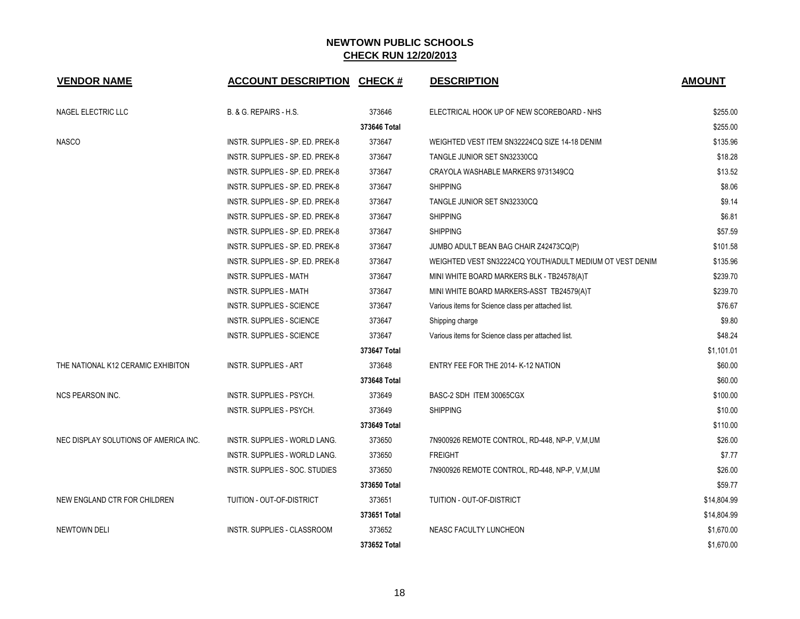| <b>VENDOR NAME</b>                    | <b>ACCOUNT DESCRIPTION CHECK #</b> |              | <b>DESCRIPTION</b>                                       | <b>AMOUNT</b> |
|---------------------------------------|------------------------------------|--------------|----------------------------------------------------------|---------------|
| NAGEL ELECTRIC LLC                    | B. & G. REPAIRS - H.S.             | 373646       | ELECTRICAL HOOK UP OF NEW SCOREBOARD - NHS               | \$255.00      |
|                                       |                                    | 373646 Total |                                                          | \$255.00      |
| <b>NASCO</b>                          | INSTR. SUPPLIES - SP. ED. PREK-8   | 373647       | WEIGHTED VEST ITEM SN32224CQ SIZE 14-18 DENIM            | \$135.96      |
|                                       | INSTR. SUPPLIES - SP. ED. PREK-8   | 373647       | TANGLE JUNIOR SET SN32330CQ                              | \$18.28       |
|                                       | INSTR. SUPPLIES - SP. ED. PREK-8   | 373647       | CRAYOLA WASHABLE MARKERS 9731349CQ                       | \$13.52       |
|                                       | INSTR. SUPPLIES - SP. ED. PREK-8   | 373647       | <b>SHIPPING</b>                                          | \$8.06        |
|                                       | INSTR. SUPPLIES - SP. ED. PREK-8   | 373647       | TANGLE JUNIOR SET SN32330CQ                              | \$9.14        |
|                                       | INSTR. SUPPLIES - SP. ED. PREK-8   | 373647       | <b>SHIPPING</b>                                          | \$6.81        |
|                                       | INSTR. SUPPLIES - SP. ED. PREK-8   | 373647       | <b>SHIPPING</b>                                          | \$57.59       |
|                                       | INSTR. SUPPLIES - SP. ED. PREK-8   | 373647       | JUMBO ADULT BEAN BAG CHAIR Z42473CQ(P)                   | \$101.58      |
|                                       | INSTR. SUPPLIES - SP. ED. PREK-8   | 373647       | WEIGHTED VEST SN32224CQ YOUTH/ADULT MEDIUM OT VEST DENIM | \$135.96      |
|                                       | <b>INSTR. SUPPLIES - MATH</b>      | 373647       | MINI WHITE BOARD MARKERS BLK - TB24578(A)T               | \$239.70      |
|                                       | <b>INSTR. SUPPLIES - MATH</b>      | 373647       | MINI WHITE BOARD MARKERS-ASST TB24579(A)T                | \$239.70      |
|                                       | INSTR. SUPPLIES - SCIENCE          | 373647       | Various items for Science class per attached list.       | \$76.67       |
|                                       | <b>INSTR. SUPPLIES - SCIENCE</b>   | 373647       | Shipping charge                                          | \$9.80        |
|                                       | <b>INSTR. SUPPLIES - SCIENCE</b>   | 373647       | Various items for Science class per attached list.       | \$48.24       |
|                                       |                                    | 373647 Total |                                                          | \$1,101.01    |
| THE NATIONAL K12 CERAMIC EXHIBITON    | <b>INSTR. SUPPLIES - ART</b>       | 373648       | ENTRY FEE FOR THE 2014- K-12 NATION                      | \$60.00       |
|                                       |                                    | 373648 Total |                                                          | \$60.00       |
| <b>NCS PEARSON INC.</b>               | INSTR. SUPPLIES - PSYCH.           | 373649       | BASC-2 SDH ITEM 30065CGX                                 | \$100.00      |
|                                       | INSTR. SUPPLIES - PSYCH.           | 373649       | <b>SHIPPING</b>                                          | \$10.00       |
|                                       |                                    | 373649 Total |                                                          | \$110.00      |
| NEC DISPLAY SOLUTIONS OF AMERICA INC. | INSTR. SUPPLIES - WORLD LANG.      | 373650       | 7N900926 REMOTE CONTROL, RD-448, NP-P, V,M,UM            | \$26.00       |
|                                       | INSTR. SUPPLIES - WORLD LANG.      | 373650       | <b>FREIGHT</b>                                           | \$7.77        |
|                                       | INSTR. SUPPLIES - SOC. STUDIES     | 373650       | 7N900926 REMOTE CONTROL, RD-448, NP-P, V,M,UM            | \$26.00       |
|                                       |                                    | 373650 Total |                                                          | \$59.77       |
| NEW ENGLAND CTR FOR CHILDREN          | TUITION - OUT-OF-DISTRICT          | 373651       | TUITION - OUT-OF-DISTRICT                                | \$14,804.99   |
|                                       |                                    | 373651 Total |                                                          | \$14,804.99   |
| <b>NEWTOWN DELI</b>                   | <b>INSTR. SUPPLIES - CLASSROOM</b> | 373652       | NEASC FACULTY LUNCHEON                                   | \$1,670.00    |
|                                       |                                    | 373652 Total |                                                          | \$1,670.00    |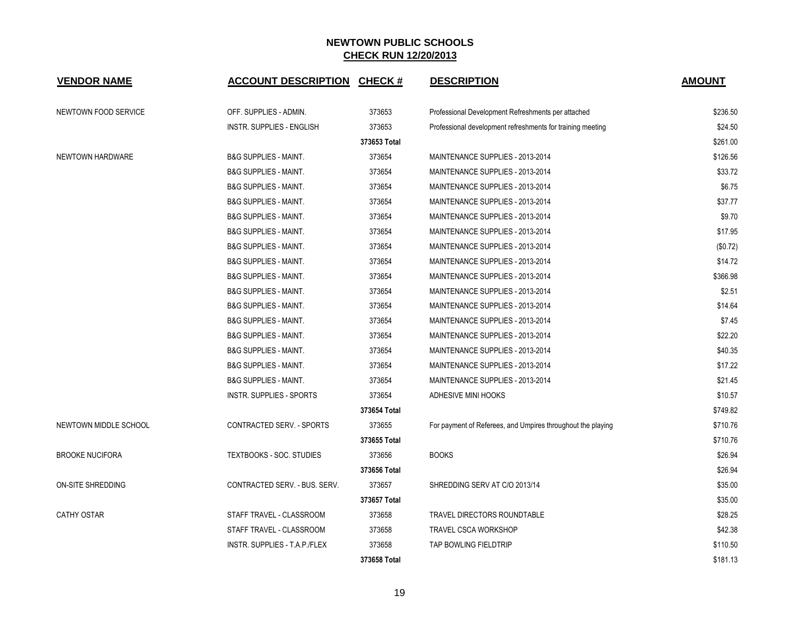| <b>VENDOR NAME</b>       | <b>ACCOUNT DESCRIPTION CHECK #</b> |              | <b>DESCRIPTION</b>                                          | <b>AMOUNT</b> |
|--------------------------|------------------------------------|--------------|-------------------------------------------------------------|---------------|
| NEWTOWN FOOD SERVICE     | OFF. SUPPLIES - ADMIN.             | 373653       | Professional Development Refreshments per attached          | \$236.50      |
|                          | <b>INSTR. SUPPLIES - ENGLISH</b>   | 373653       | Professional development refreshments for training meeting  | \$24.50       |
|                          |                                    | 373653 Total |                                                             | \$261.00      |
| NEWTOWN HARDWARE         | <b>B&amp;G SUPPLIES - MAINT.</b>   | 373654       | MAINTENANCE SUPPLIES - 2013-2014                            | \$126.56      |
|                          | <b>B&amp;G SUPPLIES - MAINT.</b>   | 373654       | MAINTENANCE SUPPLIES - 2013-2014                            | \$33.72       |
|                          | <b>B&amp;G SUPPLIES - MAINT.</b>   | 373654       | MAINTENANCE SUPPLIES - 2013-2014                            | \$6.75        |
|                          | <b>B&amp;G SUPPLIES - MAINT.</b>   | 373654       | MAINTENANCE SUPPLIES - 2013-2014                            | \$37.77       |
|                          | <b>B&amp;G SUPPLIES - MAINT.</b>   | 373654       | MAINTENANCE SUPPLIES - 2013-2014                            | \$9.70        |
|                          | <b>B&amp;G SUPPLIES - MAINT.</b>   | 373654       | MAINTENANCE SUPPLIES - 2013-2014                            | \$17.95       |
|                          | <b>B&amp;G SUPPLIES - MAINT.</b>   | 373654       | MAINTENANCE SUPPLIES - 2013-2014                            | (\$0.72)      |
|                          | <b>B&amp;G SUPPLIES - MAINT.</b>   | 373654       | MAINTENANCE SUPPLIES - 2013-2014                            | \$14.72       |
|                          | <b>B&amp;G SUPPLIES - MAINT.</b>   | 373654       | MAINTENANCE SUPPLIES - 2013-2014                            | \$366.98      |
|                          | <b>B&amp;G SUPPLIES - MAINT.</b>   | 373654       | MAINTENANCE SUPPLIES - 2013-2014                            | \$2.51        |
|                          | <b>B&amp;G SUPPLIES - MAINT.</b>   | 373654       | MAINTENANCE SUPPLIES - 2013-2014                            | \$14.64       |
|                          | <b>B&amp;G SUPPLIES - MAINT.</b>   | 373654       | MAINTENANCE SUPPLIES - 2013-2014                            | \$7.45        |
|                          | <b>B&amp;G SUPPLIES - MAINT.</b>   | 373654       | MAINTENANCE SUPPLIES - 2013-2014                            | \$22.20       |
|                          | <b>B&amp;G SUPPLIES - MAINT.</b>   | 373654       | MAINTENANCE SUPPLIES - 2013-2014                            | \$40.35       |
|                          | <b>B&amp;G SUPPLIES - MAINT.</b>   | 373654       | MAINTENANCE SUPPLIES - 2013-2014                            | \$17.22       |
|                          | <b>B&amp;G SUPPLIES - MAINT.</b>   | 373654       | MAINTENANCE SUPPLIES - 2013-2014                            | \$21.45       |
|                          | <b>INSTR. SUPPLIES - SPORTS</b>    | 373654       | ADHESIVE MINI HOOKS                                         | \$10.57       |
|                          |                                    | 373654 Total |                                                             | \$749.82      |
| NEWTOWN MIDDLE SCHOOL    | <b>CONTRACTED SERV. - SPORTS</b>   | 373655       | For payment of Referees, and Umpires throughout the playing | \$710.76      |
|                          |                                    | 373655 Total |                                                             | \$710.76      |
| <b>BROOKE NUCIFORA</b>   | TEXTBOOKS - SOC. STUDIES           | 373656       | <b>BOOKS</b>                                                | \$26.94       |
|                          |                                    | 373656 Total |                                                             | \$26.94       |
| <b>ON-SITE SHREDDING</b> | CONTRACTED SERV. - BUS. SERV.      | 373657       | SHREDDING SERV AT C/O 2013/14                               | \$35.00       |
|                          |                                    | 373657 Total |                                                             | \$35.00       |
| <b>CATHY OSTAR</b>       | STAFF TRAVEL - CLASSROOM           | 373658       | TRAVEL DIRECTORS ROUNDTABLE                                 | \$28.25       |
|                          | STAFF TRAVEL - CLASSROOM           | 373658       | <b>TRAVEL CSCA WORKSHOP</b>                                 | \$42.38       |
|                          | INSTR. SUPPLIES - T.A.P./FLEX      | 373658       | TAP BOWLING FIELDTRIP                                       | \$110.50      |
|                          |                                    | 373658 Total |                                                             | \$181.13      |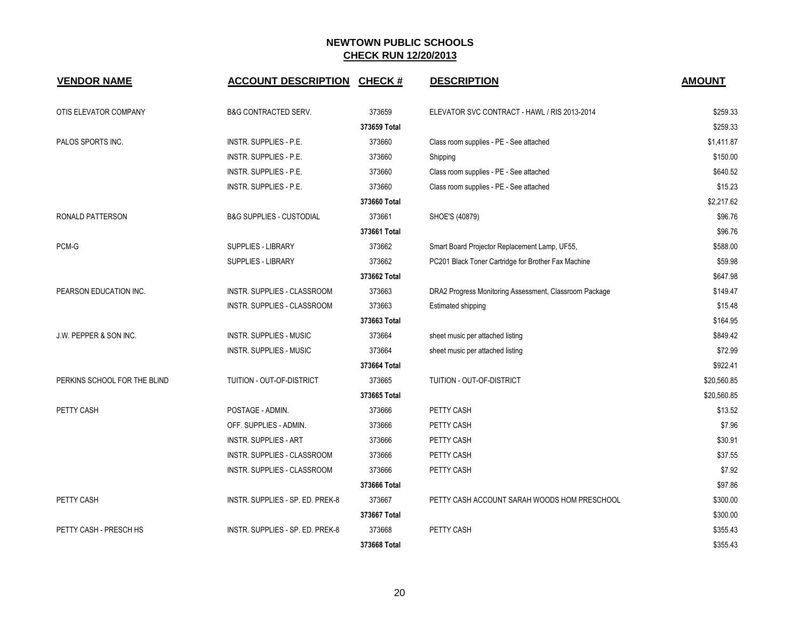| <b>VENDOR NAME</b>                | <b>ACCOUNT DESCRIPTION</b>          | <b>CHECK#</b> | <b>DESCRIPTION</b>                                     | <b>AMOUNT</b> |
|-----------------------------------|-------------------------------------|---------------|--------------------------------------------------------|---------------|
| OTIS ELEVATOR COMPANY             | <b>B&amp;G CONTRACTED SERV.</b>     | 373659        | ELEVATOR SVC CONTRACT - HAWL / RIS 2013-2014           | \$259.33      |
|                                   |                                     | 373659 Total  |                                                        | \$259.33      |
| PALOS SPORTS INC.                 | <b>INSTR. SUPPLIES - P.E.</b>       | 373660        | Class room supplies - PE - See attached                | \$1,411.87    |
|                                   | INSTR. SUPPLIES - P.E.              | 373660        | Shipping                                               | \$150.00      |
|                                   | INSTR. SUPPLIES - P.E.              | 373660        | Class room supplies - PE - See attached                | \$640.52      |
|                                   | INSTR. SUPPLIES - P.E.              | 373660        | Class room supplies - PE - See attached                | \$15.23       |
|                                   |                                     | 373660 Total  |                                                        | \$2,217.62    |
| RONALD PATTERSON                  | <b>B&amp;G SUPPLIES - CUSTODIAL</b> | 373661        | SHOE'S (40879)                                         | \$96.76       |
|                                   |                                     | 373661 Total  |                                                        | \$96.76       |
| PCM-G                             | <b>SUPPLIES - LIBRARY</b>           | 373662        | Smart Board Projector Replacement Lamp, UF55,          | \$588.00      |
|                                   | <b>SUPPLIES - LIBRARY</b>           | 373662        | PC201 Black Toner Cartridge for Brother Fax Machine    | \$59.98       |
|                                   |                                     | 373662 Total  |                                                        | \$647.98      |
| PEARSON EDUCATION INC.            | INSTR. SUPPLIES - CLASSROOM         | 373663        | DRA2 Progress Monitoring Assessment, Classroom Package | \$149.47      |
|                                   | INSTR. SUPPLIES - CLASSROOM         | 373663        | Estimated shipping                                     | \$15.48       |
|                                   |                                     | 373663 Total  |                                                        | \$164.95      |
| <b>J.W. PEPPER &amp; SON INC.</b> | <b>INSTR. SUPPLIES - MUSIC</b>      | 373664        | sheet music per attached listing                       | \$849.42      |
|                                   | <b>INSTR. SUPPLIES - MUSIC</b>      | 373664        | sheet music per attached listing                       | \$72.99       |
|                                   |                                     | 373664 Total  |                                                        | \$922.41      |
| PERKINS SCHOOL FOR THE BLIND      | TUITION - OUT-OF-DISTRICT           | 373665        | TUITION - OUT-OF-DISTRICT                              | \$20,560.85   |
|                                   |                                     | 373665 Total  |                                                        | \$20,560.85   |
| PETTY CASH                        | POSTAGE - ADMIN.                    | 373666        | PETTY CASH                                             | \$13.52       |
|                                   | OFF. SUPPLIES - ADMIN.              | 373666        | PETTY CASH                                             | \$7.96        |
|                                   | <b>INSTR. SUPPLIES - ART</b>        | 373666        | PETTY CASH                                             | \$30.91       |
|                                   | INSTR. SUPPLIES - CLASSROOM         | 373666        | PETTY CASH                                             | \$37.55       |
|                                   | INSTR. SUPPLIES - CLASSROOM         | 373666        | PETTY CASH                                             | \$7.92        |
|                                   |                                     | 373666 Total  |                                                        | \$97.86       |
| PETTY CASH                        | INSTR. SUPPLIES - SP. ED. PREK-8    | 373667        | PETTY CASH ACCOUNT SARAH WOODS HOM PRESCHOOL           | \$300.00      |
|                                   |                                     | 373667 Total  |                                                        | \$300.00      |
| PETTY CASH - PRESCH HS            | INSTR. SUPPLIES - SP. ED. PREK-8    | 373668        | PETTY CASH                                             | \$355.43      |
|                                   |                                     | 373668 Total  |                                                        | \$355.43      |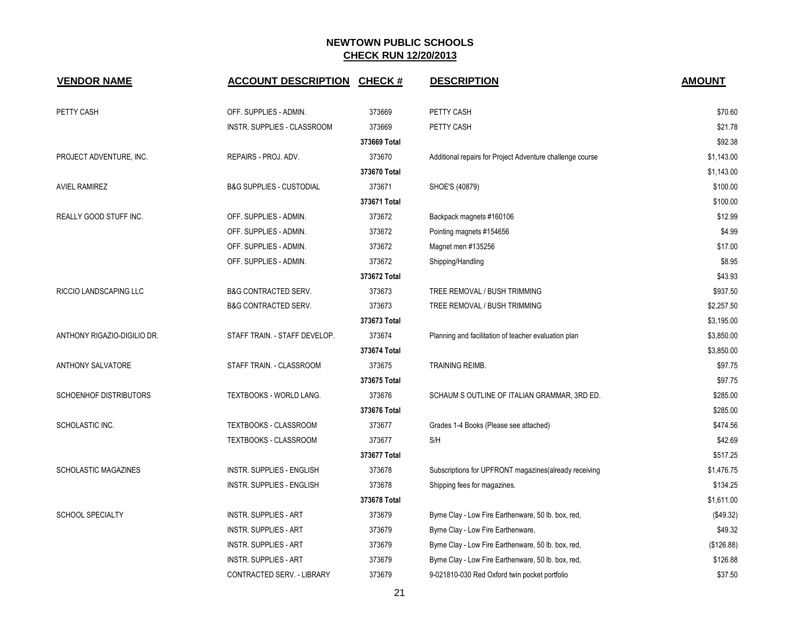| <b>VENDOR NAME</b>          | <b>ACCOUNT DESCRIPTION CHECK #</b>  |              | <b>DESCRIPTION</b>                                        | <b>AMOUNT</b> |
|-----------------------------|-------------------------------------|--------------|-----------------------------------------------------------|---------------|
| PETTY CASH                  | OFF. SUPPLIES - ADMIN.              | 373669       | PETTY CASH                                                | \$70.60       |
|                             | INSTR. SUPPLIES - CLASSROOM         | 373669       | PETTY CASH                                                | \$21.78       |
|                             |                                     | 373669 Total |                                                           | \$92.38       |
| PROJECT ADVENTURE, INC.     | REPAIRS - PROJ. ADV.                | 373670       | Additional repairs for Project Adventure challenge course | \$1,143.00    |
|                             |                                     | 373670 Total |                                                           | \$1,143.00    |
| <b>AVIEL RAMIREZ</b>        | <b>B&amp;G SUPPLIES - CUSTODIAL</b> | 373671       | SHOE'S (40879)                                            | \$100.00      |
|                             |                                     | 373671 Total |                                                           | \$100.00      |
| REALLY GOOD STUFF INC.      | OFF. SUPPLIES - ADMIN.              | 373672       | Backpack magnets #160106                                  | \$12.99       |
|                             | OFF. SUPPLIES - ADMIN.              | 373672       | Pointing magnets #154656                                  | \$4.99        |
|                             | OFF. SUPPLIES - ADMIN.              | 373672       | Magnet men #135256                                        | \$17.00       |
|                             | OFF. SUPPLIES - ADMIN.              | 373672       | Shipping/Handling                                         | \$8.95        |
|                             |                                     | 373672 Total |                                                           | \$43.93       |
| RICCIO LANDSCAPING LLC      | <b>B&amp;G CONTRACTED SERV.</b>     | 373673       | TREE REMOVAL / BUSH TRIMMING                              | \$937.50      |
|                             | <b>B&amp;G CONTRACTED SERV.</b>     | 373673       | TREE REMOVAL / BUSH TRIMMING                              | \$2,257.50    |
|                             |                                     | 373673 Total |                                                           | \$3,195.00    |
| ANTHONY RIGAZIO-DIGILIO DR. | STAFF TRAIN. - STAFF DEVELOP.       | 373674       | Planning and facilitation of teacher evaluation plan      | \$3,850.00    |
|                             |                                     | 373674 Total |                                                           | \$3,850.00    |
| ANTHONY SALVATORE           | STAFF TRAIN. - CLASSROOM            | 373675       | TRAINING REIMB.                                           | \$97.75       |
|                             |                                     | 373675 Total |                                                           | \$97.75       |
| SCHOENHOF DISTRIBUTORS      | TEXTBOOKS - WORLD LANG.             | 373676       | SCHAUM S OUTLINE OF ITALIAN GRAMMAR, 3RD ED.              | \$285.00      |
|                             |                                     | 373676 Total |                                                           | \$285.00      |
| SCHOLASTIC INC.             | <b>TEXTBOOKS - CLASSROOM</b>        | 373677       | Grades 1-4 Books (Please see attached)                    | \$474.56      |
|                             | <b>TEXTBOOKS - CLASSROOM</b>        | 373677       | S/H                                                       | \$42.69       |
|                             |                                     | 373677 Total |                                                           | \$517.25      |
| <b>SCHOLASTIC MAGAZINES</b> | <b>INSTR. SUPPLIES - ENGLISH</b>    | 373678       | Subscriptions for UPFRONT magazines(already receiving     | \$1,476.75    |
|                             | <b>INSTR. SUPPLIES - ENGLISH</b>    | 373678       | Shipping fees for magazines.                              | \$134.25      |
|                             |                                     | 373678 Total |                                                           | \$1,611.00    |
| <b>SCHOOL SPECIALTY</b>     | <b>INSTR. SUPPLIES - ART</b>        | 373679       | Byrne Clay - Low Fire Earthenware, 50 lb. box, red,       | (\$49.32)     |
|                             | <b>INSTR. SUPPLIES - ART</b>        | 373679       | Byrne Clay - Low Fire Earthenware,                        | \$49.32       |
|                             | <b>INSTR. SUPPLIES - ART</b>        | 373679       | Byrne Clay - Low Fire Earthenware, 50 lb. box, red,       | (\$126.88)    |
|                             | <b>INSTR. SUPPLIES - ART</b>        | 373679       | Byrne Clay - Low Fire Earthenware, 50 lb. box, red,       | \$126.88      |
|                             | CONTRACTED SERV. - LIBRARY          | 373679       | 9-021810-030 Red Oxford twin pocket portfolio             | \$37.50       |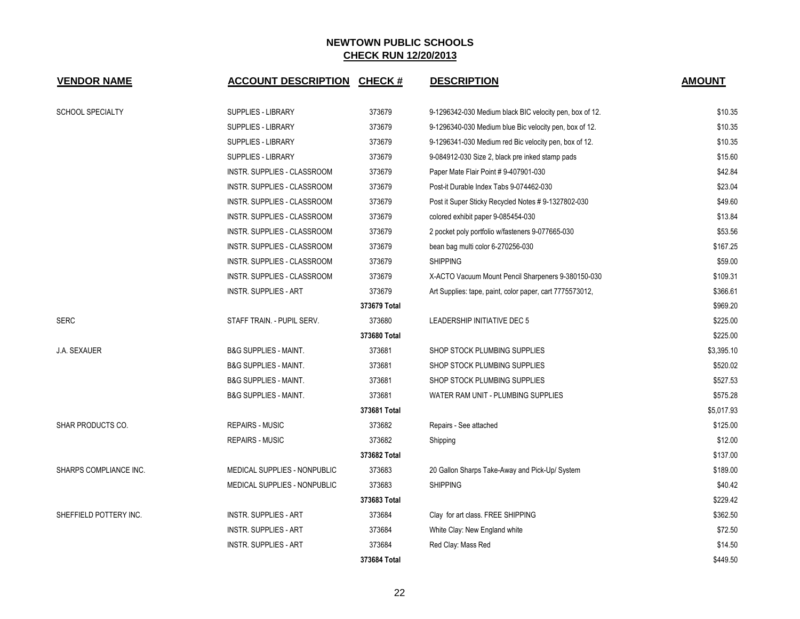| <b>VENDOR NAME</b>      | <b>ACCOUNT DESCRIPTION</b>       | <b>CHECK#</b> | <b>DESCRIPTION</b>                                       | <b>AMOUNT</b> |
|-------------------------|----------------------------------|---------------|----------------------------------------------------------|---------------|
| <b>SCHOOL SPECIALTY</b> | SUPPLIES - LIBRARY               | 373679        | 9-1296342-030 Medium black BIC velocity pen, box of 12.  | \$10.35       |
|                         | SUPPLIES - LIBRARY               | 373679        | 9-1296340-030 Medium blue Bic velocity pen, box of 12.   | \$10.35       |
|                         | <b>SUPPLIES - LIBRARY</b>        | 373679        | 9-1296341-030 Medium red Bic velocity pen, box of 12.    | \$10.35       |
|                         | <b>SUPPLIES - LIBRARY</b>        | 373679        | 9-084912-030 Size 2, black pre inked stamp pads          | \$15.60       |
|                         | INSTR. SUPPLIES - CLASSROOM      | 373679        | Paper Mate Flair Point # 9-407901-030                    | \$42.84       |
|                         | INSTR. SUPPLIES - CLASSROOM      | 373679        | Post-it Durable Index Tabs 9-074462-030                  | \$23.04       |
|                         | INSTR. SUPPLIES - CLASSROOM      | 373679        | Post it Super Sticky Recycled Notes # 9-1327802-030      | \$49.60       |
|                         | INSTR. SUPPLIES - CLASSROOM      | 373679        | colored exhibit paper 9-085454-030                       | \$13.84       |
|                         | INSTR. SUPPLIES - CLASSROOM      | 373679        | 2 pocket poly portfolio w/fasteners 9-077665-030         | \$53.56       |
|                         | INSTR. SUPPLIES - CLASSROOM      | 373679        | bean bag multi color 6-270256-030                        | \$167.25      |
|                         | INSTR. SUPPLIES - CLASSROOM      | 373679        | <b>SHIPPING</b>                                          | \$59.00       |
|                         | INSTR. SUPPLIES - CLASSROOM      | 373679        | X-ACTO Vacuum Mount Pencil Sharpeners 9-380150-030       | \$109.31      |
|                         | <b>INSTR. SUPPLIES - ART</b>     | 373679        | Art Supplies: tape, paint, color paper, cart 7775573012, | \$366.61      |
|                         |                                  | 373679 Total  |                                                          | \$969.20      |
| <b>SERC</b>             | STAFF TRAIN. - PUPIL SERV.       | 373680        | LEADERSHIP INITIATIVE DEC 5                              | \$225.00      |
|                         |                                  | 373680 Total  |                                                          | \$225.00      |
| <b>J.A. SEXAUER</b>     | <b>B&amp;G SUPPLIES - MAINT.</b> | 373681        | SHOP STOCK PLUMBING SUPPLIES                             | \$3,395.10    |
|                         | <b>B&amp;G SUPPLIES - MAINT.</b> | 373681        | SHOP STOCK PLUMBING SUPPLIES                             | \$520.02      |
|                         | <b>B&amp;G SUPPLIES - MAINT.</b> | 373681        | SHOP STOCK PLUMBING SUPPLIES                             | \$527.53      |
|                         | <b>B&amp;G SUPPLIES - MAINT.</b> | 373681        | WATER RAM UNIT - PLUMBING SUPPLIES                       | \$575.28      |
|                         |                                  | 373681 Total  |                                                          | \$5,017.93    |
| SHAR PRODUCTS CO.       | <b>REPAIRS - MUSIC</b>           | 373682        | Repairs - See attached                                   | \$125.00      |
|                         | <b>REPAIRS - MUSIC</b>           | 373682        | Shipping                                                 | \$12.00       |
|                         |                                  | 373682 Total  |                                                          | \$137.00      |
| SHARPS COMPLIANCE INC.  | MEDICAL SUPPLIES - NONPUBLIC     | 373683        | 20 Gallon Sharps Take-Away and Pick-Up/ System           | \$189.00      |
|                         | MEDICAL SUPPLIES - NONPUBLIC     | 373683        | <b>SHIPPING</b>                                          | \$40.42       |
|                         |                                  | 373683 Total  |                                                          | \$229.42      |
| SHEFFIELD POTTERY INC.  | <b>INSTR. SUPPLIES - ART</b>     | 373684        | Clay for art class. FREE SHIPPING                        | \$362.50      |
|                         | <b>INSTR. SUPPLIES - ART</b>     | 373684        | White Clay: New England white                            | \$72.50       |
|                         | <b>INSTR. SUPPLIES - ART</b>     | 373684        | Red Clay: Mass Red                                       | \$14.50       |
|                         |                                  | 373684 Total  |                                                          | \$449.50      |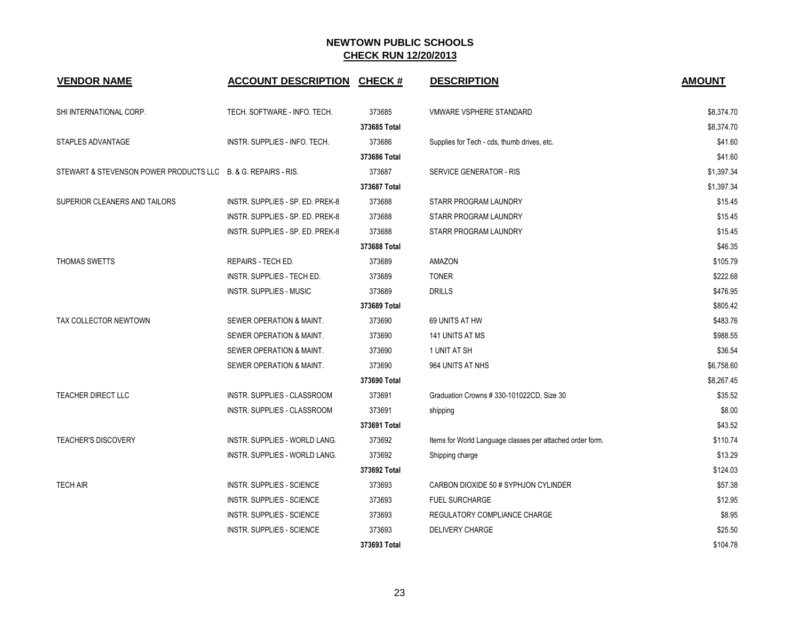| <b>VENDOR NAME</b>                                            | <b>ACCOUNT DESCRIPTION</b>       | <b>CHECK#</b> | <b>DESCRIPTION</b>                                        | <b>AMOUNT</b> |
|---------------------------------------------------------------|----------------------------------|---------------|-----------------------------------------------------------|---------------|
| SHI INTERNATIONAL CORP.                                       | TECH. SOFTWARE - INFO. TECH.     | 373685        | VMWARE VSPHERE STANDARD                                   | \$8,374.70    |
|                                                               |                                  | 373685 Total  |                                                           | \$8,374.70    |
| STAPLES ADVANTAGE                                             | INSTR. SUPPLIES - INFO. TECH.    | 373686        | Supplies for Tech - cds, thumb drives, etc.               | \$41.60       |
|                                                               |                                  | 373686 Total  |                                                           | \$41.60       |
| STEWART & STEVENSON POWER PRODUCTS LLC B. & G. REPAIRS - RIS. |                                  | 373687        | SERVICE GENERATOR - RIS                                   | \$1,397.34    |
|                                                               |                                  | 373687 Total  |                                                           | \$1,397.34    |
| SUPERIOR CLEANERS AND TAILORS                                 | INSTR. SUPPLIES - SP. ED. PREK-8 | 373688        | STARR PROGRAM LAUNDRY                                     | \$15.45       |
|                                                               | INSTR. SUPPLIES - SP. ED. PREK-8 | 373688        | STARR PROGRAM LAUNDRY                                     | \$15.45       |
|                                                               | INSTR. SUPPLIES - SP. ED. PREK-8 | 373688        | STARR PROGRAM LAUNDRY                                     | \$15.45       |
|                                                               |                                  | 373688 Total  |                                                           | \$46.35       |
| <b>THOMAS SWETTS</b>                                          | <b>REPAIRS - TECH ED.</b>        | 373689        | AMAZON                                                    | \$105.79      |
|                                                               | INSTR. SUPPLIES - TECH ED.       | 373689        | <b>TONER</b>                                              | \$222.68      |
|                                                               | <b>INSTR. SUPPLIES - MUSIC</b>   | 373689        | <b>DRILLS</b>                                             | \$476.95      |
|                                                               |                                  | 373689 Total  |                                                           | \$805.42      |
| TAX COLLECTOR NEWTOWN                                         | SEWER OPERATION & MAINT.         | 373690        | 69 UNITS AT HW                                            | \$483.76      |
|                                                               | SEWER OPERATION & MAINT.         | 373690        | 141 UNITS AT MS                                           | \$988.55      |
|                                                               | SEWER OPERATION & MAINT.         | 373690        | 1 UNIT AT SH                                              | \$36.54       |
|                                                               | SEWER OPERATION & MAINT.         | 373690        | 964 UNITS AT NHS                                          | \$6,758.60    |
|                                                               |                                  | 373690 Total  |                                                           | \$8,267.45    |
| <b>TEACHER DIRECT LLC</b>                                     | INSTR. SUPPLIES - CLASSROOM      | 373691        | Graduation Crowns #330-101022CD, Size 30                  | \$35.52       |
|                                                               | INSTR. SUPPLIES - CLASSROOM      | 373691        | shipping                                                  | \$8.00        |
|                                                               |                                  | 373691 Total  |                                                           | \$43.52       |
| <b>TEACHER'S DISCOVERY</b>                                    | INSTR. SUPPLIES - WORLD LANG.    | 373692        | Items for World Language classes per attached order form. | \$110.74      |
|                                                               | INSTR. SUPPLIES - WORLD LANG.    | 373692        | Shipping charge                                           | \$13.29       |
|                                                               |                                  | 373692 Total  |                                                           | \$124.03      |
| <b>TECH AIR</b>                                               | <b>INSTR. SUPPLIES - SCIENCE</b> | 373693        | CARBON DIOXIDE 50 # SYPHJON CYLINDER                      | \$57.38       |
|                                                               | INSTR. SUPPLIES - SCIENCE        | 373693        | <b>FUEL SURCHARGE</b>                                     | \$12.95       |
|                                                               | <b>INSTR. SUPPLIES - SCIENCE</b> | 373693        | REGULATORY COMPLIANCE CHARGE                              | \$8.95        |
|                                                               | <b>INSTR. SUPPLIES - SCIENCE</b> | 373693        | <b>DELIVERY CHARGE</b>                                    | \$25.50       |
|                                                               |                                  | 373693 Total  |                                                           | \$104.78      |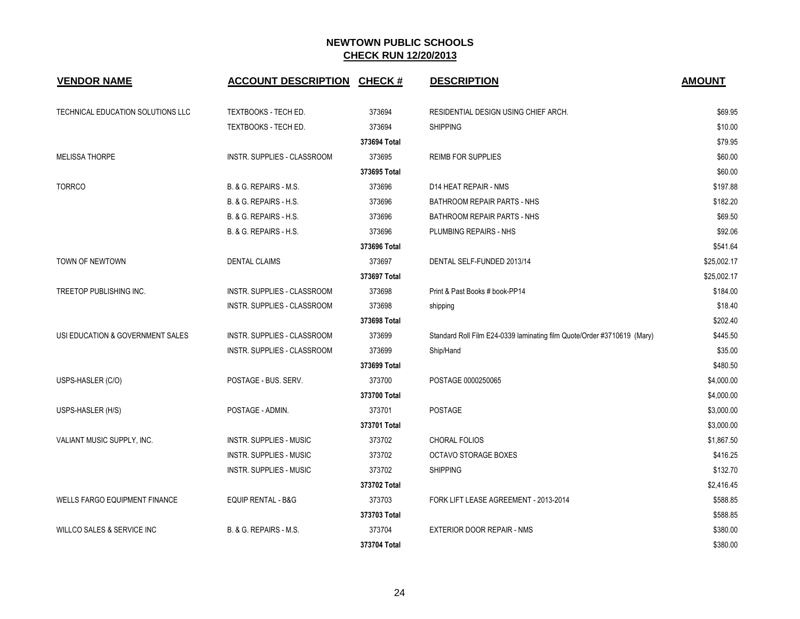| <b>VENDOR NAME</b>                   | <b>ACCOUNT DESCRIPTION</b>     | <b>CHECK#</b> | <b>DESCRIPTION</b>                                                      | <b>AMOUNT</b> |
|--------------------------------------|--------------------------------|---------------|-------------------------------------------------------------------------|---------------|
| TECHNICAL EDUCATION SOLUTIONS LLC    | TEXTBOOKS - TECH ED.           | 373694        | RESIDENTIAL DESIGN USING CHIEF ARCH.                                    | \$69.95       |
|                                      | TEXTBOOKS - TECH ED.           | 373694        | <b>SHIPPING</b>                                                         | \$10.00       |
|                                      |                                | 373694 Total  |                                                                         | \$79.95       |
| <b>MELISSA THORPE</b>                | INSTR. SUPPLIES - CLASSROOM    | 373695        | <b>REIMB FOR SUPPLIES</b>                                               | \$60.00       |
|                                      |                                | 373695 Total  |                                                                         | \$60.00       |
| <b>TORRCO</b>                        | B. & G. REPAIRS - M.S.         | 373696        | D14 HEAT REPAIR - NMS                                                   | \$197.88      |
|                                      | B. & G. REPAIRS - H.S.         | 373696        | <b>BATHROOM REPAIR PARTS - NHS</b>                                      | \$182.20      |
|                                      | B. & G. REPAIRS - H.S.         | 373696        | <b>BATHROOM REPAIR PARTS - NHS</b>                                      | \$69.50       |
|                                      | B. & G. REPAIRS - H.S.         | 373696        | PLUMBING REPAIRS - NHS                                                  | \$92.06       |
|                                      |                                | 373696 Total  |                                                                         | \$541.64      |
| TOWN OF NEWTOWN                      | <b>DENTAL CLAIMS</b>           | 373697        | DENTAL SELF-FUNDED 2013/14                                              | \$25,002.17   |
|                                      |                                | 373697 Total  |                                                                         | \$25,002.17   |
| TREETOP PUBLISHING INC.              | INSTR. SUPPLIES - CLASSROOM    | 373698        | Print & Past Books # book-PP14                                          | \$184.00      |
|                                      | INSTR. SUPPLIES - CLASSROOM    | 373698        | shipping                                                                | \$18.40       |
|                                      |                                | 373698 Total  |                                                                         | \$202.40      |
| USI EDUCATION & GOVERNMENT SALES     | INSTR. SUPPLIES - CLASSROOM    | 373699        | Standard Roll Film E24-0339 laminating film Quote/Order #3710619 (Mary) | \$445.50      |
|                                      | INSTR. SUPPLIES - CLASSROOM    | 373699        | Ship/Hand                                                               | \$35.00       |
|                                      |                                | 373699 Total  |                                                                         | \$480.50      |
| USPS-HASLER (C/O)                    | POSTAGE - BUS, SERV.           | 373700        | POSTAGE 0000250065                                                      | \$4,000.00    |
|                                      |                                | 373700 Total  |                                                                         | \$4,000.00    |
| USPS-HASLER (H/S)                    | POSTAGE - ADMIN.               | 373701        | <b>POSTAGE</b>                                                          | \$3,000.00    |
|                                      |                                | 373701 Total  |                                                                         | \$3,000.00    |
| VALIANT MUSIC SUPPLY, INC.           | INSTR. SUPPLIES - MUSIC        | 373702        | <b>CHORAL FOLIOS</b>                                                    | \$1,867.50    |
|                                      | <b>INSTR. SUPPLIES - MUSIC</b> | 373702        | OCTAVO STORAGE BOXES                                                    | \$416.25      |
|                                      | <b>INSTR. SUPPLIES - MUSIC</b> | 373702        | <b>SHIPPING</b>                                                         | \$132.70      |
|                                      |                                | 373702 Total  |                                                                         | \$2,416.45    |
| <b>WELLS FARGO EQUIPMENT FINANCE</b> | <b>EQUIP RENTAL - B&amp;G</b>  | 373703        | FORK LIFT LEASE AGREEMENT - 2013-2014                                   | \$588.85      |
|                                      |                                | 373703 Total  |                                                                         | \$588.85      |
| WILLCO SALES & SERVICE INC           | B. & G. REPAIRS - M.S.         | 373704        | EXTERIOR DOOR REPAIR - NMS                                              | \$380.00      |
|                                      |                                | 373704 Total  |                                                                         | \$380.00      |